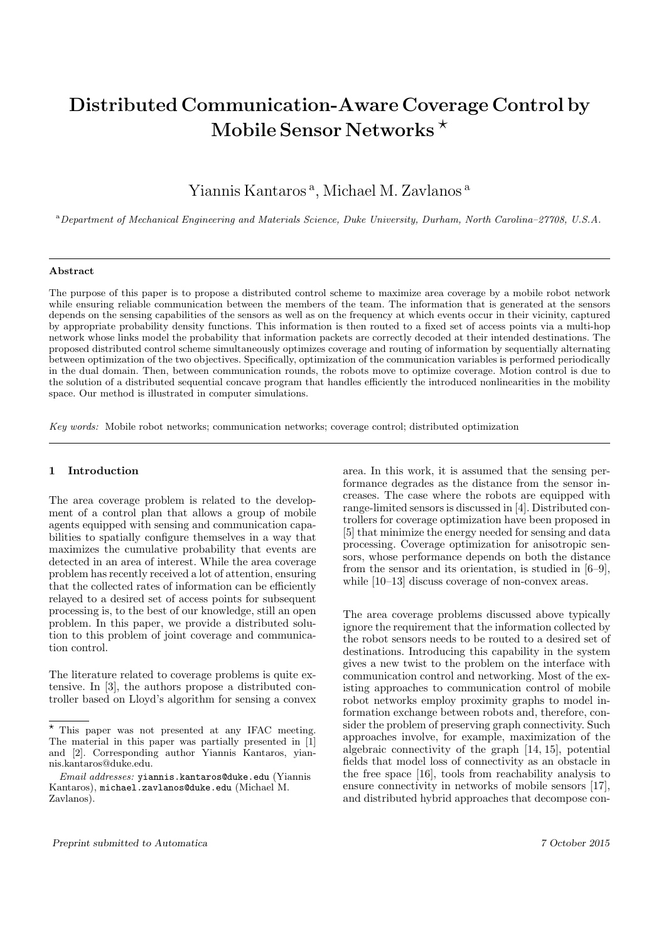# Distributed Communication-Aware Coverage Control by Mobile Sensor Networks ?

Yiannis Kantaros<sup>a</sup>, Michael M. Zavlanos<sup>a</sup>

<sup>a</sup>Department of Mechanical Engineering and Materials Science, Duke University, Durham, North Carolina–27708, U.S.A.

#### Abstract

The purpose of this paper is to propose a distributed control scheme to maximize area coverage by a mobile robot network while ensuring reliable communication between the members of the team. The information that is generated at the sensors depends on the sensing capabilities of the sensors as well as on the frequency at which events occur in their vicinity, captured by appropriate probability density functions. This information is then routed to a fixed set of access points via a multi-hop network whose links model the probability that information packets are correctly decoded at their intended destinations. The proposed distributed control scheme simultaneously optimizes coverage and routing of information by sequentially alternating between optimization of the two objectives. Specifically, optimization of the communication variables is performed periodically in the dual domain. Then, between communication rounds, the robots move to optimize coverage. Motion control is due to the solution of a distributed sequential concave program that handles efficiently the introduced nonlinearities in the mobility space. Our method is illustrated in computer simulations.

Key words: Mobile robot networks; communication networks; coverage control; distributed optimization

# 1 Introduction

The area coverage problem is related to the development of a control plan that allows a group of mobile agents equipped with sensing and communication capabilities to spatially configure themselves in a way that maximizes the cumulative probability that events are detected in an area of interest. While the area coverage problem has recently received a lot of attention, ensuring that the collected rates of information can be efficiently relayed to a desired set of access points for subsequent processing is, to the best of our knowledge, still an open problem. In this paper, we provide a distributed solution to this problem of joint coverage and communication control.

The literature related to coverage problems is quite extensive. In [3], the authors propose a distributed controller based on Lloyd's algorithm for sensing a convex

area. In this work, it is assumed that the sensing performance degrades as the distance from the sensor increases. The case where the robots are equipped with range-limited sensors is discussed in [4]. Distributed controllers for coverage optimization have been proposed in [5] that minimize the energy needed for sensing and data processing. Coverage optimization for anisotropic sensors, whose performance depends on both the distance from the sensor and its orientation, is studied in [6–9], while [10–13] discuss coverage of non-convex areas.

The area coverage problems discussed above typically ignore the requirement that the information collected by the robot sensors needs to be routed to a desired set of destinations. Introducing this capability in the system gives a new twist to the problem on the interface with communication control and networking. Most of the existing approaches to communication control of mobile robot networks employ proximity graphs to model information exchange between robots and, therefore, consider the problem of preserving graph connectivity. Such approaches involve, for example, maximization of the algebraic connectivity of the graph [14, 15], potential fields that model loss of connectivity as an obstacle in the free space [16], tools from reachability analysis to ensure connectivity in networks of mobile sensors [17], and distributed hybrid approaches that decompose con-

 $^\star$  This paper was not presented at any IFAC meeting. The material in this paper was partially presented in [1] and [2]. Corresponding author Yiannis Kantaros, yiannis.kantaros@duke.edu.

Email addresses: yiannis.kantaros@duke.edu (Yiannis Kantaros), michael.zavlanos@duke.edu (Michael M. Zavlanos).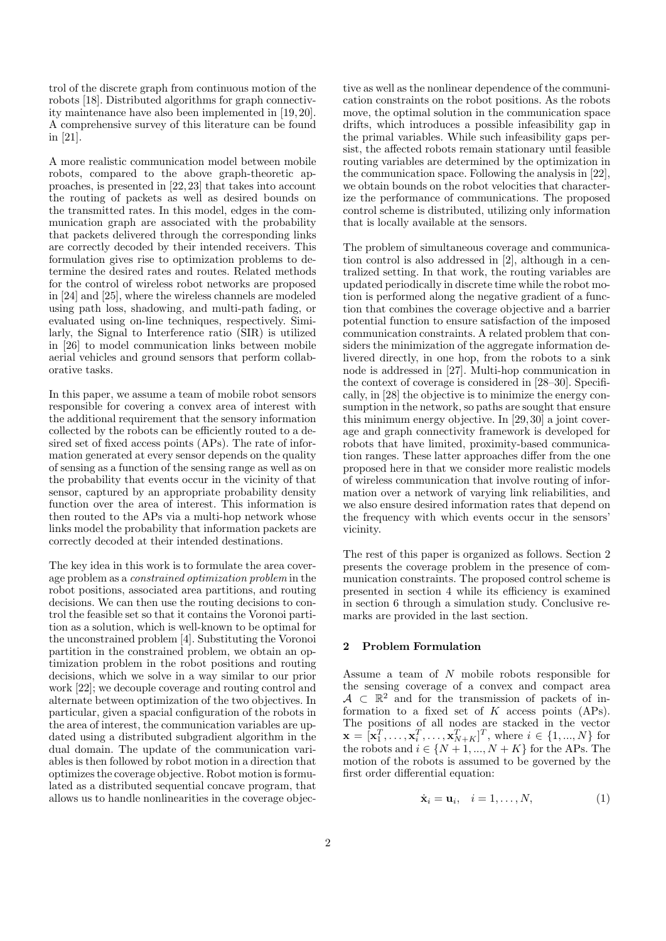trol of the discrete graph from continuous motion of the robots [18]. Distributed algorithms for graph connectivity maintenance have also been implemented in [19, 20]. A comprehensive survey of this literature can be found in [21].

A more realistic communication model between mobile robots, compared to the above graph-theoretic approaches, is presented in [22, 23] that takes into account the routing of packets as well as desired bounds on the transmitted rates. In this model, edges in the communication graph are associated with the probability that packets delivered through the corresponding links are correctly decoded by their intended receivers. This formulation gives rise to optimization problems to determine the desired rates and routes. Related methods for the control of wireless robot networks are proposed in [24] and [25], where the wireless channels are modeled using path loss, shadowing, and multi-path fading, or evaluated using on-line techniques, respectively. Similarly, the Signal to Interference ratio (SIR) is utilized in [26] to model communication links between mobile aerial vehicles and ground sensors that perform collaborative tasks.

In this paper, we assume a team of mobile robot sensors responsible for covering a convex area of interest with the additional requirement that the sensory information collected by the robots can be efficiently routed to a desired set of fixed access points (APs). The rate of information generated at every sensor depends on the quality of sensing as a function of the sensing range as well as on the probability that events occur in the vicinity of that sensor, captured by an appropriate probability density function over the area of interest. This information is then routed to the APs via a multi-hop network whose links model the probability that information packets are correctly decoded at their intended destinations.

The key idea in this work is to formulate the area coverage problem as a constrained optimization problem in the robot positions, associated area partitions, and routing decisions. We can then use the routing decisions to control the feasible set so that it contains the Voronoi partition as a solution, which is well-known to be optimal for the unconstrained problem [4]. Substituting the Voronoi partition in the constrained problem, we obtain an optimization problem in the robot positions and routing decisions, which we solve in a way similar to our prior work [22]; we decouple coverage and routing control and alternate between optimization of the two objectives. In particular, given a spacial configuration of the robots in the area of interest, the communication variables are updated using a distributed subgradient algorithm in the dual domain. The update of the communication variables is then followed by robot motion in a direction that optimizes the coverage objective. Robot motion is formulated as a distributed sequential concave program, that allows us to handle nonlinearities in the coverage objec-

tive as well as the nonlinear dependence of the communication constraints on the robot positions. As the robots move, the optimal solution in the communication space drifts, which introduces a possible infeasibility gap in the primal variables. While such infeasibility gaps persist, the affected robots remain stationary until feasible routing variables are determined by the optimization in the communication space. Following the analysis in [22], we obtain bounds on the robot velocities that characterize the performance of communications. The proposed control scheme is distributed, utilizing only information that is locally available at the sensors.

The problem of simultaneous coverage and communication control is also addressed in [2], although in a centralized setting. In that work, the routing variables are updated periodically in discrete time while the robot motion is performed along the negative gradient of a function that combines the coverage objective and a barrier potential function to ensure satisfaction of the imposed communication constraints. A related problem that considers the minimization of the aggregate information delivered directly, in one hop, from the robots to a sink node is addressed in [27]. Multi-hop communication in the context of coverage is considered in [28–30]. Specifically, in [28] the objective is to minimize the energy consumption in the network, so paths are sought that ensure this minimum energy objective. In [29, 30] a joint coverage and graph connectivity framework is developed for robots that have limited, proximity-based communication ranges. These latter approaches differ from the one proposed here in that we consider more realistic models of wireless communication that involve routing of information over a network of varying link reliabilities, and we also ensure desired information rates that depend on the frequency with which events occur in the sensors' vicinity.

The rest of this paper is organized as follows. Section 2 presents the coverage problem in the presence of communication constraints. The proposed control scheme is presented in section 4 while its efficiency is examined in section 6 through a simulation study. Conclusive remarks are provided in the last section.

## 2 Problem Formulation

Assume a team of N mobile robots responsible for the sensing coverage of a convex and compact area  $A \subset \mathbb{R}^2$  and for the transmission of packets of information to a fixed set of  $K$  access points  $(APs)$ . The positions of all nodes are stacked in the vector  $\mathbf{x} = [\mathbf{x}_1^T, \dots, \mathbf{x}_i^T, \dots, \mathbf{x}_{N+K}^T]^T$ , where  $i \in \{1, ..., N\}$  for the robots and  $i \in \{N+1, ..., N+K\}$  for the APs. The motion of the robots is assumed to be governed by the first order differential equation:

$$
\dot{\mathbf{x}}_i = \mathbf{u}_i, \quad i = 1, \dots, N,
$$
 (1)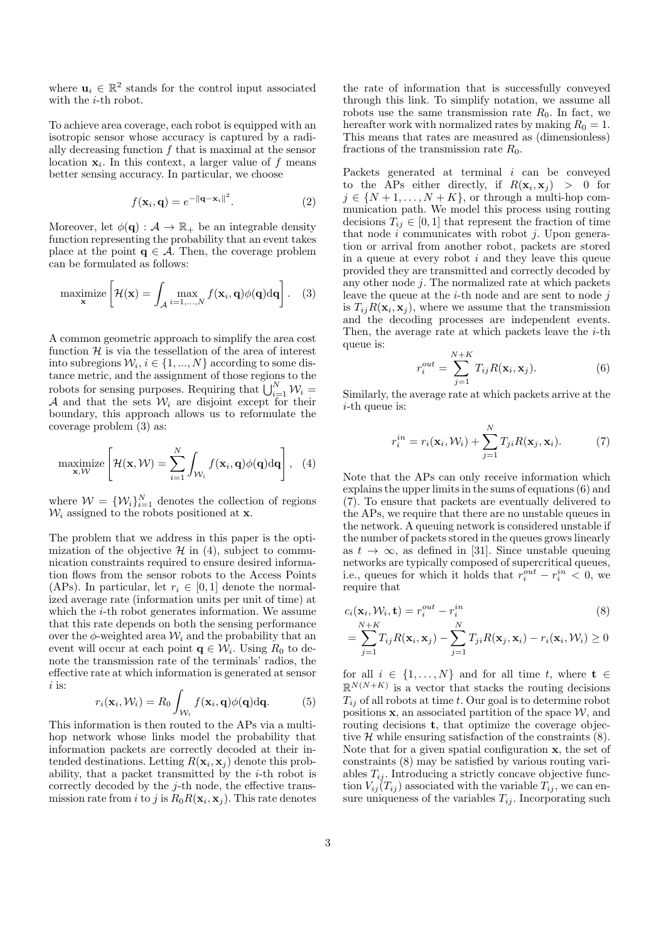where  $\mathbf{u}_i \in \mathbb{R}^2$  stands for the control input associated with the *i*-th robot.

To achieve area coverage, each robot is equipped with an isotropic sensor whose accuracy is captured by a radially decreasing function  $f$  that is maximal at the sensor location  $x_i$ . In this context, a larger value of f means better sensing accuracy. In particular, we choose

$$
f(\mathbf{x}_i, \mathbf{q}) = e^{-\|\mathbf{q} - \mathbf{x}_i\|^2}.
$$
 (2)

Moreover, let  $\phi(\mathbf{q}) : A \to \mathbb{R}_+$  be an integrable density function representing the probability that an event takes place at the point  $q \in \mathcal{A}$ . Then, the coverage problem can be formulated as follows:

$$
\underset{\mathbf{x}}{\text{maximize}} \left[ \mathcal{H}(\mathbf{x}) = \int_{\mathcal{A}} \max_{i=1,\dots,N} f(\mathbf{x}_i, \mathbf{q}) \phi(\mathbf{q}) \mathrm{d}\mathbf{q} \right]. \quad (3)
$$

A common geometric approach to simplify the area cost function  $H$  is via the tessellation of the area of interest into subregions  $\mathcal{W}_i, i \in \{1, ..., N\}$  according to some distance metric, and the assignment of those regions to the robots for sensing purposes. Requiring that  $\bigcup_{i=1}^{N} \mathcal{W}_i =$ A and that the sets  $W_i$  are disjoint except for their boundary, this approach allows us to reformulate the coverage problem (3) as:

$$
\underset{\mathbf{x}, \mathcal{W}}{\text{maximize}} \left[ \mathcal{H}(\mathbf{x}, \mathcal{W}) = \sum_{i=1}^{N} \int_{\mathcal{W}_i} f(\mathbf{x}_i, \mathbf{q}) \phi(\mathbf{q}) d\mathbf{q} \right], \quad (4)
$$

where  $W = \{W_i\}_{i=1}^N$  denotes the collection of regions  $\mathcal{W}_i$  assigned to the robots positioned at **x**.

The problem that we address in this paper is the optimization of the objective  $\mathcal{H}$  in (4), subject to communication constraints required to ensure desired information flows from the sensor robots to the Access Points (APs). In particular, let  $r_i \in [0, 1]$  denote the normalized average rate (information units per unit of time) at which the  $i$ -th robot generates information. We assume that this rate depends on both the sensing performance over the  $\phi$ -weighted area  $\mathcal{W}_i$  and the probability that an event will occur at each point  $\mathbf{q} \in \mathcal{W}_i$ . Using  $R_0$  to denote the transmission rate of the terminals' radios, the effective rate at which information is generated at sensor  $i$  is:

$$
r_i(\mathbf{x}_i, \mathcal{W}_i) = R_0 \int_{\mathcal{W}_i} f(\mathbf{x}_i, \mathbf{q}) \phi(\mathbf{q}) d\mathbf{q}.
$$
 (5)

This information is then routed to the APs via a multihop network whose links model the probability that information packets are correctly decoded at their intended destinations. Letting  $R(\mathbf{x}_i, \mathbf{x}_j)$  denote this probability, that a packet transmitted by the i-th robot is correctly decoded by the j-th node, the effective transmission rate from i to j is  $R_0R(\mathbf{x}_i, \mathbf{x}_j)$ . This rate denotes

the rate of information that is successfully conveyed through this link. To simplify notation, we assume all robots use the same transmission rate  $R_0$ . In fact, we hereafter work with normalized rates by making  $R_0 = 1$ . This means that rates are measured as (dimensionless) fractions of the transmission rate  $R_0$ .

Packets generated at terminal i can be conveyed to the APs either directly, if  $R(\mathbf{x}_i, \mathbf{x}_j) > 0$  for  $j \in \{N+1,\ldots,N+K\}$ , or through a multi-hop communication path. We model this process using routing decisions  $T_{ij} \in [0,1]$  that represent the fraction of time that node  $i$  communicates with robot  $j$ . Upon generation or arrival from another robot, packets are stored in a queue at every robot  $i$  and they leave this queue provided they are transmitted and correctly decoded by any other node  $j$ . The normalized rate at which packets leave the queue at the  $i$ -th node and are sent to node j is  $T_{ij}R(\mathbf{x}_i, \mathbf{x}_j)$ , where we assume that the transmission and the decoding processes are independent events. Then, the average rate at which packets leave the  $i$ -th queue is:

$$
r_i^{out} = \sum_{j=1}^{N+K} T_{ij} R(\mathbf{x}_i, \mathbf{x}_j).
$$
 (6)

Similarly, the average rate at which packets arrive at the  $i$ -th queue is:

$$
r_i^{in} = r_i(\mathbf{x}_i, \mathcal{W}_i) + \sum_{j=1}^N T_{ji} R(\mathbf{x}_j, \mathbf{x}_i).
$$
 (7)

Note that the APs can only receive information which explains the upper limits in the sums of equations (6) and (7). To ensure that packets are eventually delivered to the APs, we require that there are no unstable queues in the network. A queuing network is considered unstable if the number of packets stored in the queues grows linearly as  $t \to \infty$ , as defined in [31]. Since unstable queuing networks are typically composed of supercritical queues, i.e., queues for which it holds that  $r_i^{out} - r_i^{in} < 0$ , we require that

$$
c_i(\mathbf{x}_i, \mathcal{W}_i, \mathbf{t}) = r_i^{out} - r_i^{in}
$$
  

$$
N + K
$$
 (8)

$$
= \sum_{j=1}^{N+1} T_{ij} R(\mathbf{x}_i, \mathbf{x}_j) - \sum_{j=1}^{N} T_{ji} R(\mathbf{x}_j, \mathbf{x}_i) - r_i(\mathbf{x}_i, \mathcal{W}_i) \ge 0
$$

for all  $i \in \{1, ..., N\}$  and for all time  $t$ , where  $\mathbf{t} \in$  $\mathbb{R}^{N(N+K)}$  is a vector that stacks the routing decisions  $T_{ij}$  of all robots at time t. Our goal is to determine robot positions  $x$ , an associated partition of the space  $W$ , and routing decisions t, that optimize the coverage objective  $H$  while ensuring satisfaction of the constraints  $(8)$ . Note that for a given spatial configuration x, the set of constraints (8) may be satisfied by various routing variables  $T_{ij}$ . Introducing a strictly concave objective function  $V_{ij}(T_{ij})$  associated with the variable  $T_{ij}$ , we can ensure uniqueness of the variables  $T_{ij}$ . Incorporating such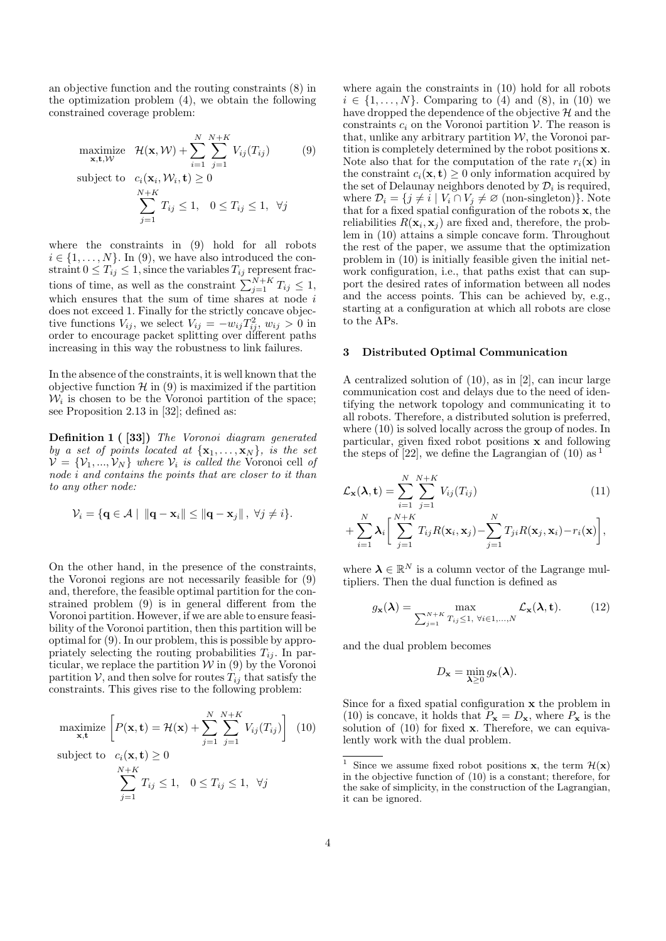an objective function and the routing constraints (8) in the optimization problem (4), we obtain the following constrained coverage problem:

maximize 
$$
\mathcal{H}(\mathbf{x}, \mathcal{W}) + \sum_{i=1}^{N} \sum_{j=1}^{N+K} V_{ij}(T_{ij})
$$
 (9)

subject to 
$$
c_i(\mathbf{x}_i, \mathcal{W}_i, \mathbf{t}) \ge 0
$$
  

$$
\sum_{j=1}^{N+K} T_{ij} \le 1, \quad 0 \le T_{ij} \le 1, \quad \forall j
$$

where the constraints in (9) hold for all robots  $i \in \{1, \ldots, N\}$ . In (9), we have also introduced the constraint  $0 \leq T_{ij} \leq 1$ , since the variables  $T_{ij}$  represent fractions of time, as well as the constraint  $\sum_{j=1}^{N+K} T_{ij} \leq 1$ , which ensures that the sum of time shares at node  $i$ does not exceed 1. Finally for the strictly concave objective functions  $V_{ij}$ , we select  $V_{ij} = -w_{ij}T_{ij}^2$ ,  $w_{ij} > 0$  in order to encourage packet splitting over different paths increasing in this way the robustness to link failures.

In the absence of the constraints, it is well known that the objective function  $\mathcal{H}$  in (9) is maximized if the partition  $W_i$  is chosen to be the Voronoi partition of the space; see Proposition 2.13 in [32]; defined as:

Definition 1 ( [33]) The Voronoi diagram generated by a set of points located at  $\{x_1, \ldots, x_N\}$ , is the set  $\mathcal{V} = \{\mathcal{V}_1, ..., \mathcal{V}_N\}$  where  $\mathcal{V}_i$  is called the Voronoi cell of node i and contains the points that are closer to it than to any other node:

$$
\mathcal{V}_i = \{ \mathbf{q} \in \mathcal{A} \mid ||\mathbf{q} - \mathbf{x}_i|| \le ||\mathbf{q} - \mathbf{x}_j||, \ \forall j \neq i \}.
$$

On the other hand, in the presence of the constraints, the Voronoi regions are not necessarily feasible for (9) and, therefore, the feasible optimal partition for the constrained problem (9) is in general different from the Voronoi partition. However, if we are able to ensure feasibility of the Voronoi partition, then this partition will be optimal for (9). In our problem, this is possible by appropriately selecting the routing probabilities  $T_{ij}$ . In particular, we replace the partition  $W$  in  $(9)$  by the Voronoi partition  $V$ , and then solve for routes  $T_{ij}$  that satisfy the constraints. This gives rise to the following problem:

maximize 
$$
\left[ P(\mathbf{x}, \mathbf{t}) = \mathcal{H}(\mathbf{x}) + \sum_{j=1}^{N} \sum_{j=1}^{N+K} V_{ij}(T_{ij}) \right]
$$
 (10)

subject to  $c_i(\mathbf{x}, \mathbf{t}) \geq 0$ 

$$
\sum_{j=1}^{N+K} T_{ij} \le 1, \quad 0 \le T_{ij} \le 1, \quad \forall j
$$

where again the constraints in (10) hold for all robots  $i \in \{1, \ldots, N\}$ . Comparing to (4) and (8), in (10) we have dropped the dependence of the objective  $\mathcal{H}$  and the constraints  $c_i$  on the Voronoi partition  $\mathcal V$ . The reason is that, unlike any arbitrary partition  $W$ , the Voronoi partition is completely determined by the robot positions x. Note also that for the computation of the rate  $r_i(\mathbf{x})$  in the constraint  $c_i(\mathbf{x}, \mathbf{t}) \geq 0$  only information acquired by the set of Delaunay neighbors denoted by  $\mathcal{D}_i$  is required, where  $\mathcal{D}_i = \{j \neq i \mid V_i \cap V_j \neq \emptyset \text{ (non-singleton)}\}.$  Note that for a fixed spatial configuration of the robots x, the reliabilities  $R(\mathbf{x}_i, \mathbf{x}_j)$  are fixed and, therefore, the problem in (10) attains a simple concave form. Throughout the rest of the paper, we assume that the optimization problem in (10) is initially feasible given the initial network configuration, i.e., that paths exist that can support the desired rates of information between all nodes and the access points. This can be achieved by, e.g., starting at a configuration at which all robots are close to the APs.

#### 3 Distributed Optimal Communication

A centralized solution of (10), as in [2], can incur large communication cost and delays due to the need of identifying the network topology and communicating it to all robots. Therefore, a distributed solution is preferred, where (10) is solved locally across the group of nodes. In particular, given fixed robot positions x and following the steps of [22], we define the Lagrangian of (10) as  $<sup>1</sup>$ </sup>

$$
\mathcal{L}_{\mathbf{x}}(\lambda, \mathbf{t}) = \sum_{i=1}^{N} \sum_{j=1}^{N+K} V_{ij}(T_{ij})
$$
\n
$$
+ \sum_{i=1}^{N} \lambda_i \left[ \sum_{j=1}^{N+K} T_{ij} R(\mathbf{x}_i, \mathbf{x}_j) - \sum_{j=1}^{N} T_{ji} R(\mathbf{x}_j, \mathbf{x}_i) - r_i(\mathbf{x}) \right],
$$
\n(11)

where  $\lambda \in \mathbb{R}^N$  is a column vector of the Lagrange multipliers. Then the dual function is defined as

$$
g_{\mathbf{x}}(\boldsymbol{\lambda}) = \max_{\sum_{j=1}^{N+K} T_{ij} \leq 1, \ \forall i \in 1, \dots, N} \mathcal{L}_{\mathbf{x}}(\boldsymbol{\lambda}, \mathbf{t}).
$$
 (12)

and the dual problem becomes

$$
D_{\mathbf{x}} = \min_{\mathbf{\lambda} \geq 0} g_{\mathbf{x}}(\mathbf{\lambda}).
$$

Since for a fixed spatial configuration x the problem in (10) is concave, it holds that  $P_x = D_x$ , where  $P_x$  is the solution of  $(10)$  for fixed **x**. Therefore, we can equivalently work with the dual problem.

<sup>&</sup>lt;sup>1</sup> Since we assume fixed robot positions **x**, the term  $\mathcal{H}(\mathbf{x})$ in the objective function of (10) is a constant; therefore, for the sake of simplicity, in the construction of the Lagrangian, it can be ignored.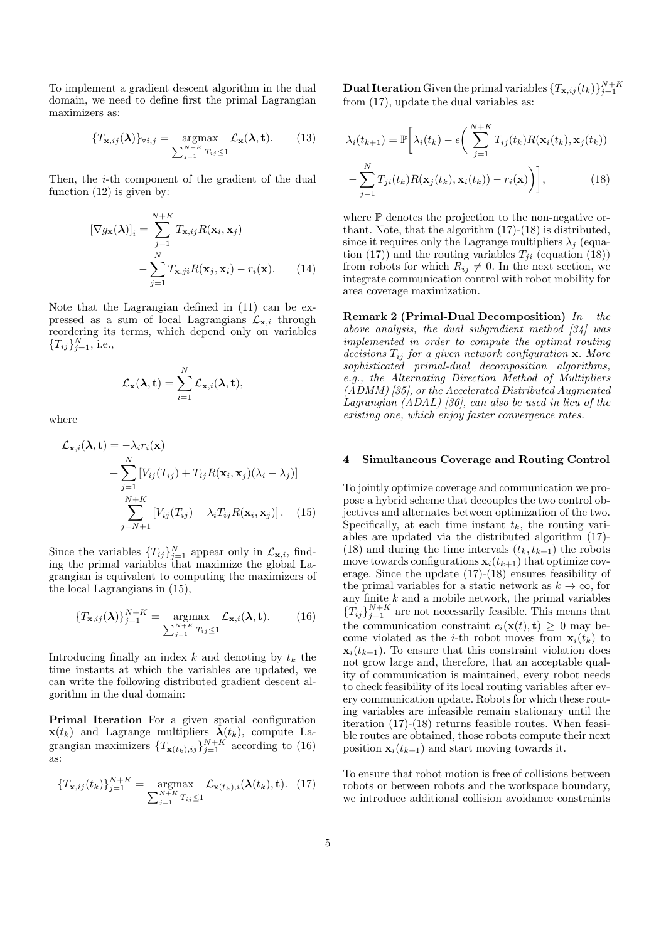To implement a gradient descent algorithm in the dual domain, we need to define first the primal Lagrangian maximizers as:

$$
\{T_{\mathbf{x},ij}(\boldsymbol{\lambda})\}_{\forall i,j} = \underset{\sum_{j=1}^{N+K} T_{ij} \leq 1}{\operatorname{argmax}} \mathcal{L}_{\mathbf{x}}(\boldsymbol{\lambda}, \mathbf{t}). \tag{13}
$$

Then, the *i*-th component of the gradient of the dual function (12) is given by:

$$
[\nabla g_{\mathbf{x}}(\boldsymbol{\lambda})]_i = \sum_{j=1}^{N+K} T_{\mathbf{x},ij} R(\mathbf{x}_i, \mathbf{x}_j)
$$

$$
-\sum_{j=1}^{N} T_{\mathbf{x},ji} R(\mathbf{x}_j, \mathbf{x}_i) - r_i(\mathbf{x}). \qquad (14)
$$

Note that the Lagrangian defined in (11) can be expressed as a sum of local Lagrangians  $\mathcal{L}_{\mathbf{x},i}$  through reordering its terms, which depend only on variables  ${T_{ij}}_{j=1}^N$ , i.e.,

$$
\mathcal{L}_{\mathbf{x}}(\lambda, \mathbf{t}) = \sum_{i=1}^N \mathcal{L}_{\mathbf{x}, i}(\lambda, \mathbf{t}),
$$

where

$$
\mathcal{L}_{\mathbf{x},i}(\lambda, \mathbf{t}) = -\lambda_i r_i(\mathbf{x}) \n+ \sum_{j=1}^N \left[ V_{ij}(T_{ij}) + T_{ij} R(\mathbf{x}_i, \mathbf{x}_j) (\lambda_i - \lambda_j) \right] \n+ \sum_{j=N+1}^{N+K} \left[ V_{ij}(T_{ij}) + \lambda_i T_{ij} R(\mathbf{x}_i, \mathbf{x}_j) \right].
$$
\n(15)

Since the variables  $\{T_{ij}\}_{j=1}^N$  appear only in  $\mathcal{L}_{\mathbf{x},i}$ , find-<br>ing the primal variables that maximize the global Lagrangian is equivalent to computing the maximizers of the local Lagrangians in (15),

$$
\{T_{\mathbf{x},ij}(\boldsymbol{\lambda})\}_{j=1}^{N+K} = \operatorname*{argmax}_{\sum_{j=1}^{N+K} T_{ij} \leq 1} \mathcal{L}_{\mathbf{x},i}(\boldsymbol{\lambda},\mathbf{t}).
$$
 (16)

Introducing finally an index  $k$  and denoting by  $t_k$  the time instants at which the variables are updated, we can write the following distributed gradient descent algorithm in the dual domain:

Primal Iteration For a given spatial configuration  $\mathbf{x}(t_k)$  and Lagrange multipliers  $\lambda(t_k)$ , compute Lagrangian maximizers  $\{T_{\mathbf{x}(t_k),ij}\}_{j=1}^{N+K}$  according to (16) as:

$$
\{T_{\mathbf{x},ij}(t_k)\}_{j=1}^{N+K} = \underset{\sum_{j=1}^{N+K} T_{ij} \le 1}{\operatorname{argmax}} \mathcal{L}_{\mathbf{x}(t_k),i}(\boldsymbol{\lambda}(t_k), \mathbf{t}). \tag{17}
$$

**Dual Iteration** Given the primal variables  ${T_{\mathbf{x},ij}(t_k)}_{j=1}^{N+K}$ from (17), update the dual variables as:

$$
\lambda_i(t_{k+1}) = \mathbb{P}\bigg[\lambda_i(t_k) - \epsilon \bigg(\sum_{j=1}^{N+K} T_{ij}(t_k) R(\mathbf{x}_i(t_k), \mathbf{x}_j(t_k)) - \sum_{j=1}^{N} T_{ji}(t_k) R(\mathbf{x}_j(t_k), \mathbf{x}_i(t_k)) - r_i(\mathbf{x})\bigg)\bigg],\tag{18}
$$

where  $\mathbb P$  denotes the projection to the non-negative orthant. Note, that the algorithm (17)-(18) is distributed, since it requires only the Lagrange multipliers  $\lambda_i$  (equation (17)) and the routing variables  $T_{ji}$  (equation (18)) from robots for which  $R_{ij} \neq 0$ . In the next section, we integrate communication control with robot mobility for area coverage maximization.

Remark 2 (Primal-Dual Decomposition) In the above analysis, the dual subgradient method  $\left[34\right]$  was implemented in order to compute the optimal routing decisions  $T_{ij}$  for a given network configuration **x**. More sophisticated primal-dual decomposition algorithms, e.g., the Alternating Direction Method of Multipliers (ADMM) [35], or the Accelerated Distributed Augmented Lagrangian (ADAL) [36], can also be used in lieu of the existing one, which enjoy faster convergence rates.

#### 4 Simultaneous Coverage and Routing Control

To jointly optimize coverage and communication we propose a hybrid scheme that decouples the two control objectives and alternates between optimization of the two. Specifically, at each time instant  $t_k$ , the routing variables are updated via the distributed algorithm (17)- (18) and during the time intervals  $(t_k, t_{k+1})$  the robots move towards configurations  $\mathbf{x}_i(t_{k+1})$  that optimize coverage. Since the update (17)-(18) ensures feasibility of the primal variables for a static network as  $k \to \infty$ , for any finite  $k$  and a mobile network, the primal variables  ${T_{ij}}_{j=1}^{N+K}$  are not necessarily feasible. This means that the communication constraint  $c_i(\mathbf{x}(t), \mathbf{t}) \geq 0$  may become violated as the *i*-th robot moves from  $\mathbf{x}_i(t_k)$  to  $\mathbf{x}_i(t_{k+1})$ . To ensure that this constraint violation does not grow large and, therefore, that an acceptable quality of communication is maintained, every robot needs to check feasibility of its local routing variables after every communication update. Robots for which these routing variables are infeasible remain stationary until the iteration (17)-(18) returns feasible routes. When feasible routes are obtained, those robots compute their next position  $\mathbf{x}_i(t_{k+1})$  and start moving towards it.

To ensure that robot motion is free of collisions between robots or between robots and the workspace boundary, we introduce additional collision avoidance constraints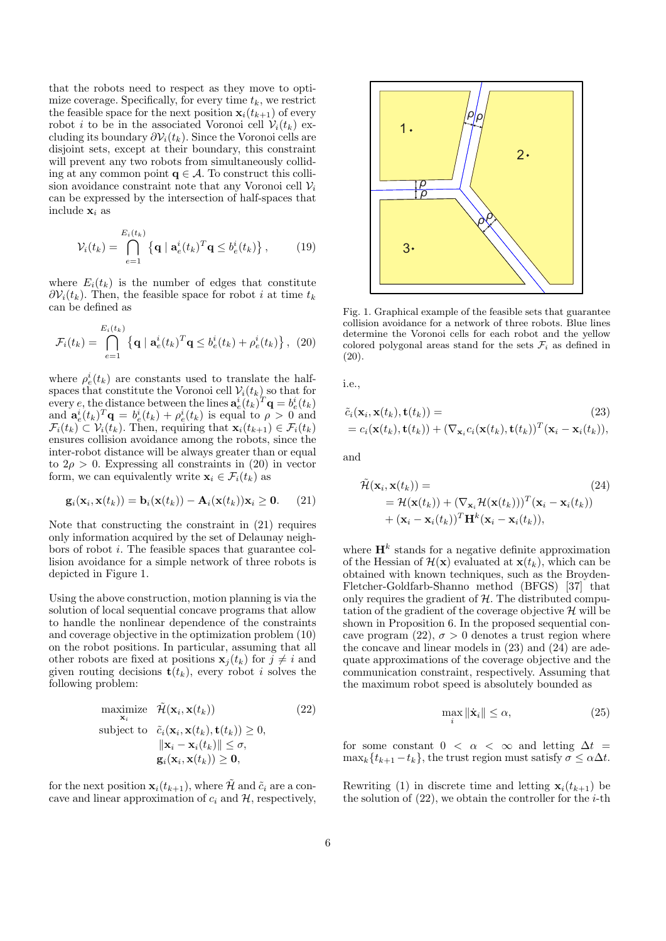that the robots need to respect as they move to optimize coverage. Specifically, for every time  $t_k$ , we restrict the feasible space for the next position  $\mathbf{x}_i(t_{k+1})$  of every robot *i* to be in the associated Voronoi cell  $V_i(t_k)$  excluding its boundary  $\partial \mathcal{V}_i(t_k)$ . Since the Voronoi cells are disjoint sets, except at their boundary, this constraint will prevent any two robots from simultaneously colliding at any common point  $q \in \mathcal{A}$ . To construct this collision avoidance constraint note that any Voronoi cell  $\mathcal{V}_i$ can be expressed by the intersection of half-spaces that include  $\mathbf{x}_i$  as

$$
\mathcal{V}_i(t_k) = \bigcap_{e=1}^{E_i(t_k)} \left\{ \mathbf{q} \mid \mathbf{a}_e^i(t_k)^T \mathbf{q} \le b_e^i(t_k) \right\},\tag{19}
$$

where  $E_i(t_k)$  is the number of edges that constitute  $\partial V_i(t_k)$ . Then, the feasible space for robot *i* at time  $t_k$ can be defined as

$$
\mathcal{F}_i(t_k) = \bigcap_{e=1}^{E_i(t_k)} \left\{ \mathbf{q} \mid \mathbf{a}_e^i(t_k)^T \mathbf{q} \le b_e^i(t_k) + \rho_e^i(t_k) \right\}, \tag{20}
$$

where  $\rho_e^i(t_k)$  are constants used to translate the halfspaces that constitute the Voronoi cell  $V_i(t_k)$  so that for every e, the distance between the lines  $\mathbf{a}_e^i(t_k)^T \mathbf{q} = b_e^i(t_k)$ and  $\mathbf{a}_e^i(t_k)^T \mathbf{q} = b_e^i(t_k) + \rho_e^i(t_k)$  is equal to  $\rho > 0$  and  $\mathcal{F}_i(t_k) \subset \mathcal{V}_i(t_k)$ . Then, requiring that  $\mathbf{x}_i(t_{k+1}) \in \mathcal{F}_i(t_k)$ ensures collision avoidance among the robots, since the inter-robot distance will be always greater than or equal to  $2\rho > 0$ . Expressing all constraints in (20) in vector form, we can equivalently write  $\mathbf{x}_i \in \mathcal{F}_i(t_k)$  as

$$
\mathbf{g}_i(\mathbf{x}_i, \mathbf{x}(t_k)) = \mathbf{b}_i(\mathbf{x}(t_k)) - \mathbf{A}_i(\mathbf{x}(t_k))\mathbf{x}_i \ge \mathbf{0}.
$$
 (21)

Note that constructing the constraint in (21) requires only information acquired by the set of Delaunay neighbors of robot i. The feasible spaces that guarantee collision avoidance for a simple network of three robots is depicted in Figure 1.

Using the above construction, motion planning is via the solution of local sequential concave programs that allow to handle the nonlinear dependence of the constraints and coverage objective in the optimization problem (10) on the robot positions. In particular, assuming that all other robots are fixed at positions  $\mathbf{x}_i(t_k)$  for  $j \neq i$  and given routing decisions  $\mathbf{t}(t_k)$ , every robot i solves the following problem:

maximize 
$$
\widetilde{\mathcal{H}}(\mathbf{x}_i, \mathbf{x}(t_k))
$$
 (22)  
\nsubject to  $\tilde{c}_i(\mathbf{x}_i, \mathbf{x}(t_k), \mathbf{t}(t_k)) \ge 0$ ,  
\n
$$
\|\mathbf{x}_i - \mathbf{x}_i(t_k)\| \le \sigma
$$
,  
\n
$$
\mathbf{g}_i(\mathbf{x}_i, \mathbf{x}(t_k)) \ge \mathbf{0}
$$
,

for the next position  $\mathbf{x}_i(t_{k+1}),$  where H and  $\tilde{c}_i$  are a concave and linear approximation of  $c_i$  and  $H$ , respectively,



Fig. 1. Graphical example of the feasible sets that guarantee collision avoidance for a network of three robots. Blue lines determine the Voronoi cells for each robot and the yellow colored polygonal areas stand for the sets  $\mathcal{F}_i$  as defined in (20).

i.e.,

$$
\tilde{c}_i(\mathbf{x}_i, \mathbf{x}(t_k), \mathbf{t}(t_k)) = (23) \n= c_i(\mathbf{x}(t_k), \mathbf{t}(t_k)) + (\nabla_{\mathbf{x}_i} c_i(\mathbf{x}(t_k), \mathbf{t}(t_k))^T (\mathbf{x}_i - \mathbf{x}_i(t_k)),
$$

and

$$
\tilde{\mathcal{H}}(\mathbf{x}_i, \mathbf{x}(t_k)) =
$$
\n
$$
= \mathcal{H}(\mathbf{x}(t_k)) + (\nabla_{\mathbf{x}_i} \mathcal{H}(\mathbf{x}(t_k)))^T (\mathbf{x}_i - \mathbf{x}_i(t_k))
$$
\n
$$
+ (\mathbf{x}_i - \mathbf{x}_i(t_k))^T \mathbf{H}^k (\mathbf{x}_i - \mathbf{x}_i(t_k)),
$$
\n(24)

where  $\mathbf{H}^{k}$  stands for a negative definite approximation of the Hessian of  $\mathcal{H}(\mathbf{x})$  evaluated at  $\mathbf{x}(t_k)$ , which can be obtained with known techniques, such as the Broyden-Fletcher-Goldfarb-Shanno method (BFGS) [37] that only requires the gradient of  $H$ . The distributed computation of the gradient of the coverage objective  $\mathcal{H}$  will be shown in Proposition 6. In the proposed sequential concave program  $(22)$ ,  $\sigma > 0$  denotes a trust region where the concave and linear models in (23) and (24) are adequate approximations of the coverage objective and the communication constraint, respectively. Assuming that the maximum robot speed is absolutely bounded as

$$
\max_{i} \|\dot{\mathbf{x}}_{i}\| \le \alpha,\tag{25}
$$

for some constant  $0 < \alpha < \infty$  and letting  $\Delta t =$  $\max_k \{t_{k+1} - t_k\}$ , the trust region must satisfy  $\sigma \leq \alpha \Delta t$ .

Rewriting (1) in discrete time and letting  $x_i(t_{k+1})$  be the solution of  $(22)$ , we obtain the controller for the *i*-th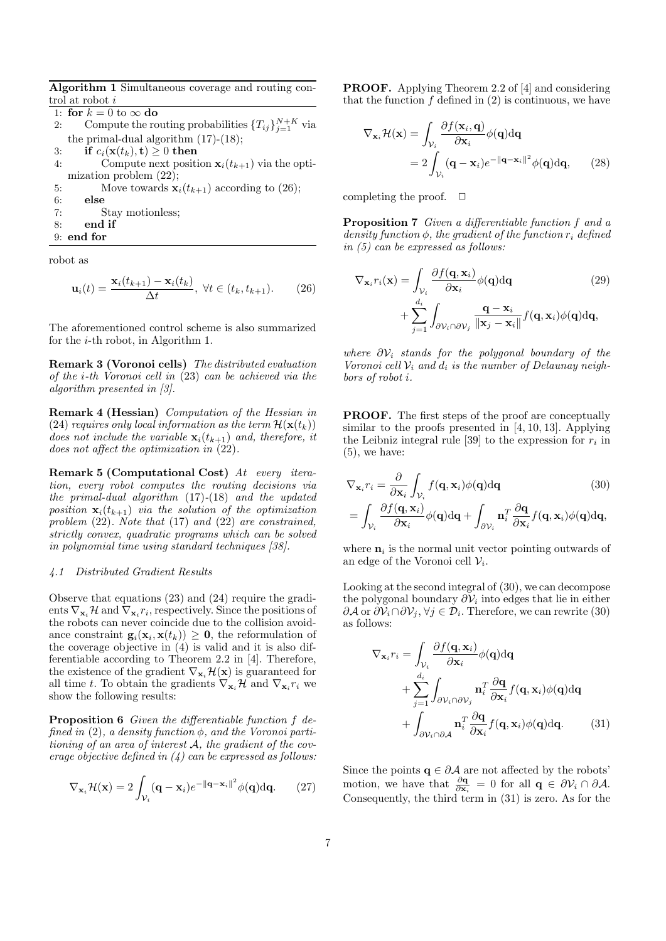Algorithm 1 Simultaneous coverage and routing control at robot $i$ 

1: for  $k = 0$  to  $\infty$  do<br>2: Compute the ro 2: Compute the routing probabilities  $\{T_{ij}\}_{j=1}^{N+K}$  via the primal-dual algorithm (17)-(18); 3: **if**  $c_i(\mathbf{x}(t_k), \mathbf{t}) \ge 0$  **then**<br>4: **Compute next posit** Compute next position  $\mathbf{x}_i(t_{k+1})$  via the optimization problem (22); 5: Move towards  $\mathbf{x}_i(t_{k+1})$  according to (26);<br>6: **else** else 7: Stay motionless; 8: end if 9: end for

robot as

$$
\mathbf{u}_i(t) = \frac{\mathbf{x}_i(t_{k+1}) - \mathbf{x}_i(t_k)}{\Delta t}, \ \forall t \in (t_k, t_{k+1}).
$$
 (26)

The aforementioned control scheme is also summarized for the i-th robot, in Algorithm 1.

Remark 3 (Voronoi cells) The distributed evaluation of the i-th Voronoi cell in (23) can be achieved via the algorithm presented in [3].

Remark 4 (Hessian) Computation of the Hessian in (24) requires only local information as the term  $\mathcal{H}(\mathbf{x}(t_k))$ does not include the variable  $\mathbf{x}_i(t_{k+1})$  and, therefore, it does not affect the optimization in  $(22)$ .

Remark 5 (Computational Cost) At every iteration, every robot computes the routing decisions via the primal-dual algorithm (17)-(18) and the updated position  $\mathbf{x}_i(t_{k+1})$  via the solution of the optimization problem (22). Note that (17) and (22) are constrained, strictly convex, quadratic programs which can be solved in polynomial time using standard techniques [38].

## 4.1 Distributed Gradient Results

Observe that equations (23) and (24) require the gradients  $\nabla_{\mathbf{x}_i} \mathcal{H}$  and  $\nabla_{\mathbf{x}_i} r_i$ , respectively. Since the positions of the robots can never coincide due to the collision avoidance constraint  $\mathbf{g}_i(\mathbf{x}_i, \mathbf{x}(t_k)) \geq \mathbf{0}$ , the reformulation of the coverage objective in  $(4)$  is valid and it is also differentiable according to Theorem 2.2 in [4]. Therefore, the existence of the gradient  $\nabla_{\mathbf{x}_i} \mathcal{H}(\mathbf{x})$  is guaranteed for all time t. To obtain the gradients  $\nabla_{\mathbf{x}_i} \mathcal{H}$  and  $\nabla_{\mathbf{x}_i} r_i$  we show the following results:

Proposition 6 Given the differentiable function f defined in (2), a density function  $\phi$ , and the Voronoi partitioning of an area of interest A, the gradient of the coverage objective defined in  $(4)$  can be expressed as follows:

$$
\nabla_{\mathbf{x}_i} \mathcal{H}(\mathbf{x}) = 2 \int_{\mathcal{V}_i} (\mathbf{q} - \mathbf{x}_i) e^{-\|\mathbf{q} - \mathbf{x}_i\|^2} \phi(\mathbf{q}) d\mathbf{q}.
$$
 (27)

PROOF. Applying Theorem 2.2 of [4] and considering that the function  $f$  defined in  $(2)$  is continuous, we have

$$
\nabla_{\mathbf{x}_{i}}\mathcal{H}(\mathbf{x}) = \int_{\mathcal{V}_{i}} \frac{\partial f(\mathbf{x}_{i}, \mathbf{q})}{\partial \mathbf{x}_{i}} \phi(\mathbf{q}) d\mathbf{q}
$$

$$
= 2 \int_{\mathcal{V}_{i}} (\mathbf{q} - \mathbf{x}_{i}) e^{-\|\mathbf{q} - \mathbf{x}_{i}\|^{2}} \phi(\mathbf{q}) d\mathbf{q}, \qquad (28)
$$

completing the proof.  $\Box$ 

Proposition 7 Given a differentiable function f and a density function  $\phi$ , the gradient of the function  $r_i$  defined in (5) can be expressed as follows:

$$
\nabla_{\mathbf{x}_{i}} r_{i}(\mathbf{x}) = \int_{\mathcal{V}_{i}} \frac{\partial f(\mathbf{q}, \mathbf{x}_{i})}{\partial \mathbf{x}_{i}} \phi(\mathbf{q}) d\mathbf{q}
$$
(29)  
+ 
$$
\sum_{j=1}^{d_{i}} \int_{\partial \mathcal{V}_{i} \cap \partial \mathcal{V}_{j}} \frac{\mathbf{q} - \mathbf{x}_{i}}{\|\mathbf{x}_{j} - \mathbf{x}_{i}\|} f(\mathbf{q}, \mathbf{x}_{i}) \phi(\mathbf{q}) d\mathbf{q},
$$

where  $\partial \mathcal{V}_i$  stands for the polygonal boundary of the Voronoi cell  $V_i$  and  $d_i$  is the number of Delaunay neighbors of robot i.

PROOF. The first steps of the proof are conceptually similar to the proofs presented in [4, 10, 13]. Applying the Leibniz integral rule [39] to the expression for  $r_i$  in  $(5)$ , we have:

$$
\nabla_{\mathbf{x}_{i}} r_{i} = \frac{\partial}{\partial \mathbf{x}_{i}} \int_{\mathcal{V}_{i}} f(\mathbf{q}, \mathbf{x}_{i}) \phi(\mathbf{q}) d\mathbf{q}
$$
(30)  

$$
= \int_{\mathcal{V}_{i}} \frac{\partial f(\mathbf{q}, \mathbf{x}_{i})}{\partial \mathbf{x}_{i}} \phi(\mathbf{q}) d\mathbf{q} + \int_{\partial \mathcal{V}_{i}} \mathbf{n}_{i}^{T} \frac{\partial \mathbf{q}}{\partial \mathbf{x}_{i}} f(\mathbf{q}, \mathbf{x}_{i}) \phi(\mathbf{q}) d\mathbf{q},
$$

where  $\mathbf{n}_i$  is the normal unit vector pointing outwards of an edge of the Voronoi cell  $V_i$ .

Looking at the second integral of (30), we can decompose the polygonal boundary  $\partial V_i$  into edges that lie in either  $\partial \mathcal{A}$  or  $\partial \mathcal{V}_i \cap \partial \mathcal{V}_j, \forall j \in \mathcal{D}_i$ . Therefore, we can rewrite (30) as follows:

$$
\nabla_{\mathbf{x}_{i}} r_{i} = \int_{\mathcal{V}_{i}} \frac{\partial f(\mathbf{q}, \mathbf{x}_{i})}{\partial \mathbf{x}_{i}} \phi(\mathbf{q}) d\mathbf{q} \n+ \sum_{j=1}^{d_{i}} \int_{\partial \mathcal{V}_{i} \cap \partial \mathcal{V}_{j}} \mathbf{n}_{i}^{T} \frac{\partial \mathbf{q}}{\partial \mathbf{x}_{i}} f(\mathbf{q}, \mathbf{x}_{i}) \phi(\mathbf{q}) d\mathbf{q} \n+ \int_{\partial \mathcal{V}_{i} \cap \partial \mathcal{A}} \mathbf{n}_{i}^{T} \frac{\partial \mathbf{q}}{\partial \mathbf{x}_{i}} f(\mathbf{q}, \mathbf{x}_{i}) \phi(\mathbf{q}) d\mathbf{q}.
$$
\n(31)

Since the points  $\mathbf{q} \in \partial A$  are not affected by the robots' motion, we have that  $\frac{\partial \mathbf{q}}{\partial \mathbf{x}_i} = 0$  for all  $\mathbf{q} \in \partial \mathcal{V}_i \cap \partial \mathcal{A}$ . Consequently, the third term in (31) is zero. As for the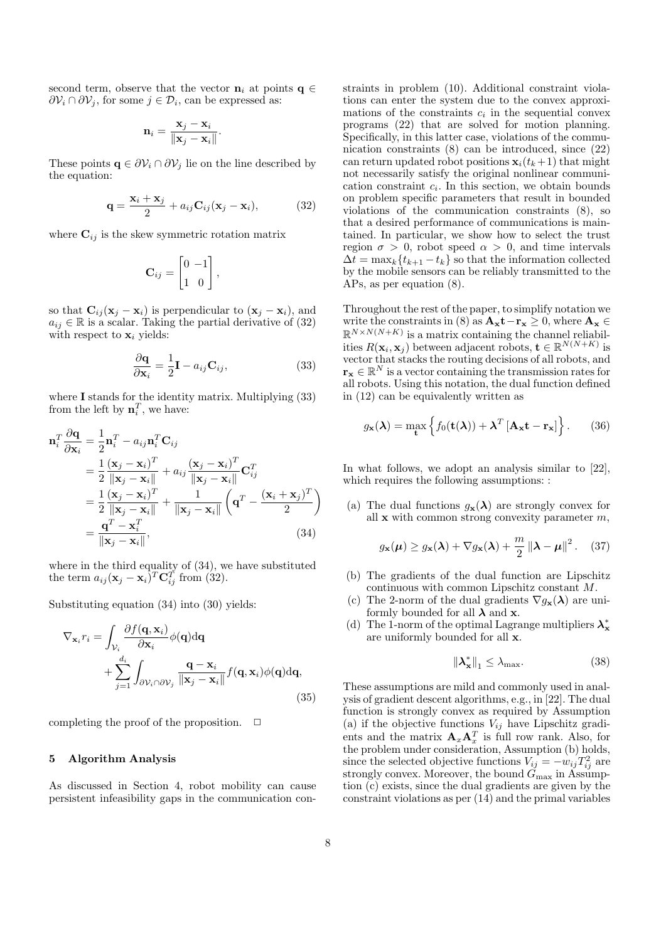second term, observe that the vector  $\mathbf{n}_i$  at points  $\mathbf{q} \in$  $\partial \mathcal{V}_i \cap \partial \mathcal{V}_j$ , for some  $j \in \mathcal{D}_i$ , can be expressed as:

$$
\mathbf{n}_i = \frac{\mathbf{x}_j - \mathbf{x}_i}{\|\mathbf{x}_j - \mathbf{x}_i\|}.
$$

These points  $\mathbf{q} \in \partial \mathcal{V}_i \cap \partial \mathcal{V}_j$  lie on the line described by the equation:

$$
\mathbf{q} = \frac{\mathbf{x}_i + \mathbf{x}_j}{2} + a_{ij}\mathbf{C}_{ij}(\mathbf{x}_j - \mathbf{x}_i),
$$
 (32)

where  $\mathbf{C}_{ij}$  is the skew symmetric rotation matrix

$$
\mathbf{C}_{ij} = \begin{bmatrix} 0 & -1 \\ 1 & 0 \end{bmatrix},
$$

so that  $\mathbf{C}_{ij}(\mathbf{x}_j - \mathbf{x}_i)$  is perpendicular to  $(\mathbf{x}_j - \mathbf{x}_i)$ , and  $a_{ij} \in \mathbb{R}$  is a scalar. Taking the partial derivative of (32) with respect to  $\mathbf{x}_i$  yields:

$$
\frac{\partial \mathbf{q}}{\partial \mathbf{x}_i} = \frac{1}{2} \mathbf{I} - a_{ij} \mathbf{C}_{ij},
$$
\n(33)

where I stands for the identity matrix. Multiplying (33) from the left by  $\mathbf{n}_i^T$ , we have:

$$
\mathbf{n}_i^T \frac{\partial \mathbf{q}}{\partial \mathbf{x}_i} = \frac{1}{2} \mathbf{n}_i^T - a_{ij} \mathbf{n}_i^T \mathbf{C}_{ij}
$$
  
\n
$$
= \frac{1}{2} \frac{(\mathbf{x}_j - \mathbf{x}_i)^T}{\|\mathbf{x}_j - \mathbf{x}_i\|} + a_{ij} \frac{(\mathbf{x}_j - \mathbf{x}_i)^T}{\|\mathbf{x}_j - \mathbf{x}_i\|} \mathbf{C}_{ij}^T
$$
  
\n
$$
= \frac{1}{2} \frac{(\mathbf{x}_j - \mathbf{x}_i)^T}{\|\mathbf{x}_j - \mathbf{x}_i\|} + \frac{1}{\|\mathbf{x}_j - \mathbf{x}_i\|} \left(\mathbf{q}^T - \frac{(\mathbf{x}_i + \mathbf{x}_j)^T}{2}\right)
$$
  
\n
$$
= \frac{\mathbf{q}^T - \mathbf{x}_i^T}{\|\mathbf{x}_j - \mathbf{x}_i\|}, \tag{34}
$$

where in the third equality of (34), we have substituted the term  $a_{ij}(\mathbf{x}_j - \mathbf{x}_i)^T \mathbf{C}_{ij}^T$  from (32).

Substituting equation (34) into (30) yields:

$$
\nabla_{\mathbf{x}_{i}} r_{i} = \int_{\mathcal{V}_{i}} \frac{\partial f(\mathbf{q}, \mathbf{x}_{i})}{\partial \mathbf{x}_{i}} \phi(\mathbf{q}) d\mathbf{q} + \sum_{j=1}^{d_{i}} \int_{\partial \mathcal{V}_{i} \cap \partial \mathcal{V}_{j}} \frac{\mathbf{q} - \mathbf{x}_{i}}{\|\mathbf{x}_{j} - \mathbf{x}_{i}\|} f(\mathbf{q}, \mathbf{x}_{i}) \phi(\mathbf{q}) d\mathbf{q},
$$
\n(35)

completing the proof of the proposition.  $\Box$ 

## 5 Algorithm Analysis

As discussed in Section 4, robot mobility can cause persistent infeasibility gaps in the communication con-

straints in problem (10). Additional constraint violations can enter the system due to the convex approximations of the constraints  $c_i$  in the sequential convex programs (22) that are solved for motion planning. Specifically, in this latter case, violations of the communication constraints (8) can be introduced, since (22) can return updated robot positions  $\mathbf{x}_i(t_k+1)$  that might not necessarily satisfy the original nonlinear communication constraint  $c_i$ . In this section, we obtain bounds on problem specific parameters that result in bounded violations of the communication constraints (8), so that a desired performance of communications is maintained. In particular, we show how to select the trust region  $\sigma > 0$ , robot speed  $\alpha > 0$ , and time intervals  $\Delta t = \max_k \{t_{k+1} - t_k\}$  so that the information collected by the mobile sensors can be reliably transmitted to the APs, as per equation (8).

Throughout the rest of the paper, to simplify notation we write the constraints in (8) as  $\mathbf{A}_{\mathbf{x}}\mathbf{t}-\mathbf{r}_{\mathbf{x}} \geq 0$ , where  $\mathbf{A}_{\mathbf{x}} \in \mathbb{R}$  $\mathbb{R}^{N\times N(N+K)}$  is a matrix containing the channel reliabilities  $R(\mathbf{x}_i, \mathbf{x}_j)$  between adjacent robots,  $\mathbf{t} \in \mathbb{R}^{N(N+K)}$  is vector that stacks the routing decisions of all robots, and  $\mathbf{r}_{\mathbf{x}} \in \mathbb{R}^{N}$  is a vector containing the transmission rates for all robots. Using this notation, the dual function defined in (12) can be equivalently written as

$$
g_{\mathbf{x}}(\boldsymbol{\lambda}) = \max_{\mathbf{t}} \left\{ f_0(\mathbf{t}(\boldsymbol{\lambda})) + \boldsymbol{\lambda}^T \left[ \mathbf{A}_{\mathbf{x}} \mathbf{t} - \mathbf{r}_{\mathbf{x}} \right] \right\}.
$$
 (36)

In what follows, we adopt an analysis similar to [22], which requires the following assumptions: :

(a) The dual functions  $g_{\mathbf{x}}(\lambda)$  are strongly convex for all  $x$  with common strong convexity parameter  $m$ ,

$$
g_{\mathbf{x}}(\boldsymbol{\mu}) \ge g_{\mathbf{x}}(\boldsymbol{\lambda}) + \nabla g_{\mathbf{x}}(\boldsymbol{\lambda}) + \frac{m}{2} ||\boldsymbol{\lambda} - \boldsymbol{\mu}||^2. \quad (37)
$$

- (b) The gradients of the dual function are Lipschitz continuous with common Lipschitz constant M.
- (c) The 2-norm of the dual gradients  $\nabla g_{\mathbf{x}}(\lambda)$  are uniformly bounded for all  $\lambda$  and  $x$ .
- (d) The 1-norm of the optimal Lagrange multipliers  $\lambda^*_x$ are uniformly bounded for all x.

$$
\|\lambda_{\mathbf{x}}^*\|_1 \le \lambda_{\max}.\tag{38}
$$

These assumptions are mild and commonly used in analysis of gradient descent algorithms, e.g., in [22]. The dual function is strongly convex as required by Assumption (a) if the objective functions  $V_{ij}$  have Lipschitz gradients and the matrix  $\mathbf{A}_x \mathbf{A}_x^T$  is full row rank. Also, for the problem under consideration, Assumption (b) holds, since the selected objective functions  $V_{ij} = -w_{ij}T_{ij}^2$  are strongly convex. Moreover, the bound  $\tilde{G}_{\text{max}}$  in Assumption (c) exists, since the dual gradients are given by the constraint violations as per (14) and the primal variables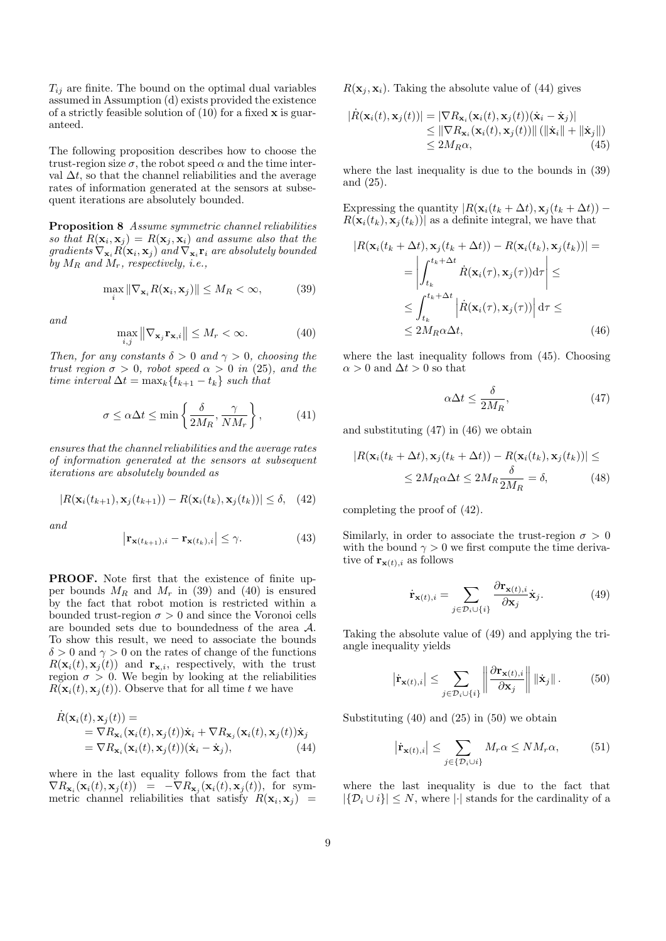$T_{ij}$  are finite. The bound on the optimal dual variables assumed in Assumption (d) exists provided the existence of a strictly feasible solution of  $(10)$  for a fixed  $x$  is guaranteed.

The following proposition describes how to choose the trust-region size  $\sigma$ , the robot speed  $\alpha$  and the time interval  $\Delta t$ , so that the channel reliabilities and the average rates of information generated at the sensors at subsequent iterations are absolutely bounded.

Proposition 8 Assume symmetric channel reliabilities so that  $R(\mathbf{x}_i, \mathbf{x}_j) = R(\mathbf{x}_j, \mathbf{x}_i)$  and assume also that the  $gradients \nabla_{\mathbf{x}_i} R(\mathbf{x}_i, \mathbf{x}_j)$  and  $\nabla_{\mathbf{x}_i} \mathbf{r}_i$  are absolutely bounded by  $M_R$  and  $M_r$ , respectively, *i.e.*,

$$
\max_{i} \|\nabla_{\mathbf{x}_i} R(\mathbf{x}_i, \mathbf{x}_j)\| \le M_R < \infty,\tag{39}
$$

and

$$
\max_{i,j} \left\| \nabla_{\mathbf{x}_j} \mathbf{r}_{\mathbf{x},i} \right\| \le M_r < \infty. \tag{40}
$$

Then, for any constants  $\delta > 0$  and  $\gamma > 0$ , choosing the trust region  $\sigma > 0$ , robot speed  $\alpha > 0$  in (25), and the time interval  $\Delta t = \max_k \{t_{k+1} - t_k\}$  such that

$$
\sigma \le \alpha \Delta t \le \min\left\{\frac{\delta}{2M_R}, \frac{\gamma}{NM_r}\right\},\tag{41}
$$

ensures that the channel reliabilities and the average rates of information generated at the sensors at subsequent iterations are absolutely bounded as

$$
|R(\mathbf{x}_i(t_{k+1}), \mathbf{x}_j(t_{k+1})) - R(\mathbf{x}_i(t_k), \mathbf{x}_j(t_k))| \le \delta, \quad (42)
$$

and

$$
\left|\mathbf{r}_{\mathbf{x}(t_{k+1}),i} - \mathbf{r}_{\mathbf{x}(t_k),i}\right| \leq \gamma.
$$
 (43)

PROOF. Note first that the existence of finite upper bounds  $M_R$  and  $M_r$  in (39) and (40) is ensured by the fact that robot motion is restricted within a bounded trust-region  $\sigma > 0$  and since the Voronoi cells are bounded sets due to boundedness of the area A. To show this result, we need to associate the bounds  $\delta > 0$  and  $\gamma > 0$  on the rates of change of the functions  $R(\mathbf{x}_i(t), \mathbf{x}_j(t))$  and  $\mathbf{r}_{\mathbf{x},i}$ , respectively, with the trust region  $\sigma > 0$ . We begin by looking at the reliabilities  $R(\mathbf{x}_i(t), \mathbf{x}_j(t))$ . Observe that for all time t we have

$$
\dot{R}(\mathbf{x}_i(t), \mathbf{x}_j(t)) =\n= \nabla R_{\mathbf{x}_i}(\mathbf{x}_i(t), \mathbf{x}_j(t))\dot{\mathbf{x}}_i + \nabla R_{\mathbf{x}_j}(\mathbf{x}_i(t), \mathbf{x}_j(t))\dot{\mathbf{x}}_j\n= \nabla R_{\mathbf{x}_i}(\mathbf{x}_i(t), \mathbf{x}_j(t))(\dot{\mathbf{x}}_i - \dot{\mathbf{x}}_j),
$$
\n(44)

where in the last equality follows from the fact that  $\nabla R_{\mathbf{x}_i}(\mathbf{x}_i(t), \mathbf{x}_j(t)) = -\nabla R_{\mathbf{x}_j}(\mathbf{x}_i(t), \mathbf{x}_j(t)),$  for symmetric channel reliabilities that satisfy  $R(\mathbf{x}_i, \mathbf{x}_j)$  =  $R(\mathbf{x}_i, \mathbf{x}_i)$ . Taking the absolute value of (44) gives

$$
|\dot{R}(\mathbf{x}_i(t), \mathbf{x}_j(t))| = |\nabla R_{\mathbf{x}_i}(\mathbf{x}_i(t), \mathbf{x}_j(t))(\dot{\mathbf{x}}_i - \dot{\mathbf{x}}_j)|
$$
  
\n
$$
\leq \|\nabla R_{\mathbf{x}_i}(\mathbf{x}_i(t), \mathbf{x}_j(t))\| \left( \|\dot{\mathbf{x}}_i\| + \|\dot{\mathbf{x}}_j\|\right)
$$
  
\n
$$
\leq 2M_R \alpha, \tag{45}
$$

where the last inequality is due to the bounds in (39) and (25).

Expressing the quantity  $|R(\mathbf{x}_i(t_k + \Delta t), \mathbf{x}_j(t_k + \Delta t)) R(\mathbf{x}_i(t_k), \mathbf{x}_j(t_k))$  as a definite integral, we have that

$$
|R(\mathbf{x}_i(t_k + \Delta t), \mathbf{x}_j(t_k + \Delta t)) - R(\mathbf{x}_i(t_k), \mathbf{x}_j(t_k))| =
$$
  
\n
$$
= \left| \int_{t_k}^{t_k + \Delta t} \dot{R}(\mathbf{x}_i(\tau), \mathbf{x}_j(\tau)) d\tau \right| \le
$$
  
\n
$$
\le \int_{t_k}^{t_k + \Delta t} \left| \dot{R}(\mathbf{x}_i(\tau), \mathbf{x}_j(\tau)) \right| d\tau \le
$$
  
\n
$$
\le 2M_R \alpha \Delta t,
$$
 (46)

where the last inequality follows from (45). Choosing  $\alpha > 0$  and  $\Delta t > 0$  so that

$$
\alpha \Delta t \le \frac{\delta}{2M_R},\tag{47}
$$

and substituting (47) in (46) we obtain

$$
|R(\mathbf{x}_i(t_k + \Delta t), \mathbf{x}_j(t_k + \Delta t)) - R(\mathbf{x}_i(t_k), \mathbf{x}_j(t_k))| \le
$$
  

$$
\le 2M_R \alpha \Delta t \le 2M_R \frac{\delta}{2M_R} = \delta,
$$
 (48)

completing the proof of (42).

Similarly, in order to associate the trust-region  $\sigma > 0$ with the bound  $\gamma > 0$  we first compute the time derivative of  $\mathbf{r}_{\mathbf{x}(t),i}$  as follows

$$
\dot{\mathbf{r}}_{\mathbf{x}(t),i} = \sum_{j \in \mathcal{D}_i \cup \{i\}} \frac{\partial \mathbf{r}_{\mathbf{x}(t),i}}{\partial \mathbf{x}_j} \dot{\mathbf{x}}_j.
$$
(49)

Taking the absolute value of (49) and applying the triangle inequality yields

$$
\left|\dot{\mathbf{r}}_{\mathbf{x}(t),i}\right| \leq \sum_{j \in \mathcal{D}_i \cup \{i\}} \left\|\frac{\partial \mathbf{r}_{\mathbf{x}(t),i}}{\partial \mathbf{x}_j}\right\| \left\|\dot{\mathbf{x}}_j\right\|.
$$
 (50)

Substituting  $(40)$  and  $(25)$  in  $(50)$  we obtain

$$
\left|\dot{\mathbf{r}}_{\mathbf{x}(t),i}\right| \leq \sum_{j \in \{\mathcal{D}_i \cup i\}} M_r \alpha \leq NM_r \alpha,\tag{51}
$$

where the last inequality is due to the fact that  $|\{\mathcal{D}_i \cup i\}| \leq N$ , where  $|\cdot|$  stands for the cardinality of a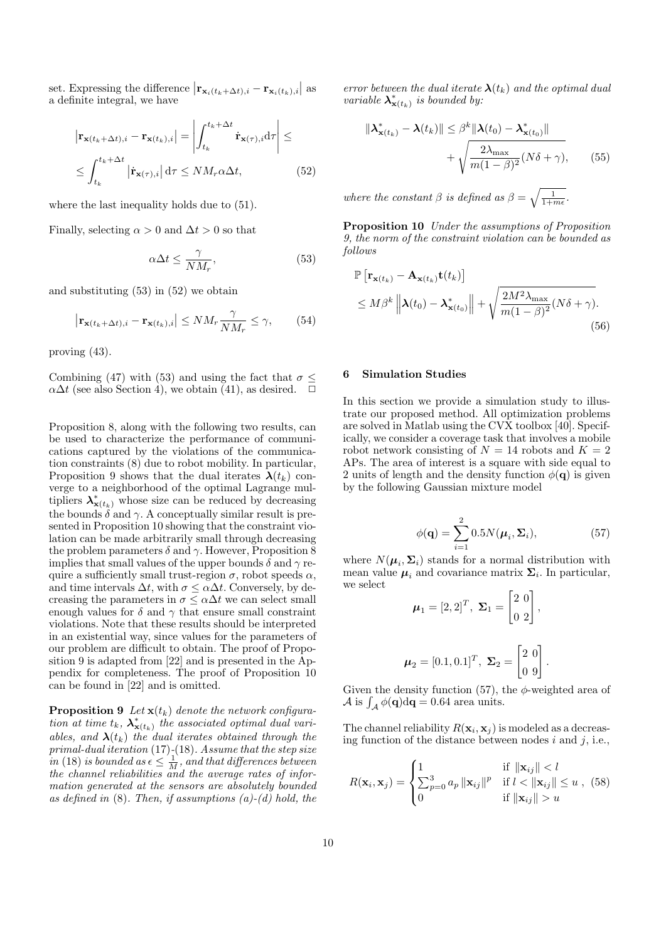set. Expressing the difference  $\left|\mathbf{r}_{\mathbf{x}_i(t_k+\Delta t),i} - \mathbf{r}_{\mathbf{x}_i(t_k),i}\right|$  as a definite integral, we have

$$
\left| \mathbf{r}_{\mathbf{x}(t_k + \Delta t), i} - \mathbf{r}_{\mathbf{x}(t_k), i} \right| = \left| \int_{t_k}^{t_k + \Delta t} \dot{\mathbf{r}}_{\mathbf{x}(\tau), i} d\tau \right| \le
$$
  

$$
\leq \int_{t_k}^{t_k + \Delta t} \left| \dot{\mathbf{r}}_{\mathbf{x}(\tau), i} \right| d\tau \leq N M_r \alpha \Delta t, \tag{52}
$$

where the last inequality holds due to (51).

Finally, selecting  $\alpha > 0$  and  $\Delta t > 0$  so that

$$
\alpha \Delta t \le \frac{\gamma}{NM_r},\tag{53}
$$

and substituting (53) in (52) we obtain

$$
\left|\mathbf{r}_{\mathbf{x}(t_k + \Delta t),i} - \mathbf{r}_{\mathbf{x}(t_k),i}\right| \le NM_r \frac{\gamma}{NM_r} \le \gamma,\qquad(54)
$$

proving (43).

Combining (47) with (53) and using the fact that  $\sigma \leq$  $\alpha\Delta t$  (see also Section 4), we obtain (41), as desired.  $\Box$ 

Proposition 8, along with the following two results, can be used to characterize the performance of communications captured by the violations of the communication constraints (8) due to robot mobility. In particular, Proposition 9 shows that the dual iterates  $\lambda(t_k)$  converge to a neighborhood of the optimal Lagrange multipliers  $\lambda^*_{\mathbf{x}(t_k)}$  whose size can be reduced by decreasing the bounds  $\delta$  and  $\gamma$ . A conceptually similar result is presented in Proposition 10 showing that the constraint violation can be made arbitrarily small through decreasing the problem parameters  $\delta$  and  $\gamma$ . However, Proposition 8 implies that small values of the upper bounds  $\delta$  and  $\gamma$  require a sufficiently small trust-region  $\sigma$ , robot speeds  $\alpha$ , and time intervals  $\Delta t$ , with  $\sigma \leq \alpha \Delta t$ . Conversely, by decreasing the parameters in  $\sigma \leq \alpha \Delta t$  we can select small enough values for  $\delta$  and  $\gamma$  that ensure small constraint violations. Note that these results should be interpreted in an existential way, since values for the parameters of our problem are difficult to obtain. The proof of Proposition 9 is adapted from [22] and is presented in the Appendix for completeness. The proof of Proposition 10 can be found in [22] and is omitted.

**Proposition 9** Let  $\mathbf{x}(t_k)$  denote the network configuration at time  $t_k$ ,  $\lambda^*_{\mathbf{x}(t_k)}$  the associated optimal dual variables, and  $\lambda(t_k)$  the dual iterates obtained through the  $primal-dual iteration (17)-(18)$  . Assume that the step size in (18) is bounded as  $\epsilon \leq \frac{1}{M}$ , and that differences between the channel reliabilities and the average rates of information generated at the sensors are absolutely bounded as defined in  $(8)$ . Then, if assumptions  $(a)-(d)$  hold, the error between the dual iterate  $\lambda(t_k)$  and the optimal dual variable  $\lambda^*_{\mathbf{x}(t_k)}$  is bounded by:

$$
\|\boldsymbol{\lambda}_{\mathbf{x}(t_k)}^* - \boldsymbol{\lambda}(t_k)\| \leq \beta^k \|\boldsymbol{\lambda}(t_0) - \boldsymbol{\lambda}_{\mathbf{x}(t_0)}^*\|
$$

$$
+ \sqrt{\frac{2\lambda_{\max}}{m(1-\beta)^2}(N\delta + \gamma)}, \qquad (55)
$$

where the constant  $\beta$  is defined as  $\beta = \sqrt{\frac{1}{1+m\epsilon}}$ .

Proposition 10 Under the assumptions of Proposition 9, the norm of the constraint violation can be bounded as follows

$$
\mathbb{P}\left[\mathbf{r}_{\mathbf{x}(t_k)} - \mathbf{A}_{\mathbf{x}(t_k)}\mathbf{t}(t_k)\right] \leq M\beta^k \left\|\mathbf{\lambda}(t_0) - \mathbf{\lambda}^*_{\mathbf{x}(t_0)}\right\| + \sqrt{\frac{2M^2\lambda_{\max}}{m(1-\beta)^2}(N\delta + \gamma)}.
$$
\n(56)

#### 6 Simulation Studies

In this section we provide a simulation study to illustrate our proposed method. All optimization problems are solved in Matlab using the CVX toolbox [40]. Specifically, we consider a coverage task that involves a mobile robot network consisting of  $N = 14$  robots and  $K = 2$ APs. The area of interest is a square with side equal to 2 units of length and the density function  $\phi(\mathbf{q})$  is given by the following Gaussian mixture model

$$
\phi(\mathbf{q}) = \sum_{i=1}^{2} 0.5N(\boldsymbol{\mu}_i, \boldsymbol{\Sigma}_i),
$$
\n(57)

.

where  $N(\mu_i, \Sigma_i)$  stands for a normal distribution with mean value  $\mu_i$  and covariance matrix  $\Sigma_i$ . In particular, we select

$$
\mu_1 = [2, 2]^T, \ \Sigma_1 = \begin{bmatrix} 2 & 0 \\ 0 & 2 \end{bmatrix},
$$

$$
\mu_2 = [0.1, 0.1]^T, \ \Sigma_2 = \begin{bmatrix} 2 & 0 \\ 0 & 9 \end{bmatrix}
$$

Given the density function (57), the  $\phi$ -weighted area of  $\mathcal A$  is  $\int_{\mathcal A} \phi(\mathbf q) d\mathbf q = 0.64$  area units.

The channel reliability  $R(\mathbf{x}_i, \mathbf{x}_j)$  is modeled as a decreasing function of the distance between nodes  $i$  and  $j$ , i.e.,

$$
R(\mathbf{x}_i, \mathbf{x}_j) = \begin{cases} 1 & \text{if } \|\mathbf{x}_{ij}\| < l \\ \sum_{p=0}^3 a_p \|\mathbf{x}_{ij}\|^p & \text{if } l < \|\mathbf{x}_{ij}\| \le u , \ (58) \\ 0 & \text{if } \|\mathbf{x}_{ij}\| > u \end{cases}
$$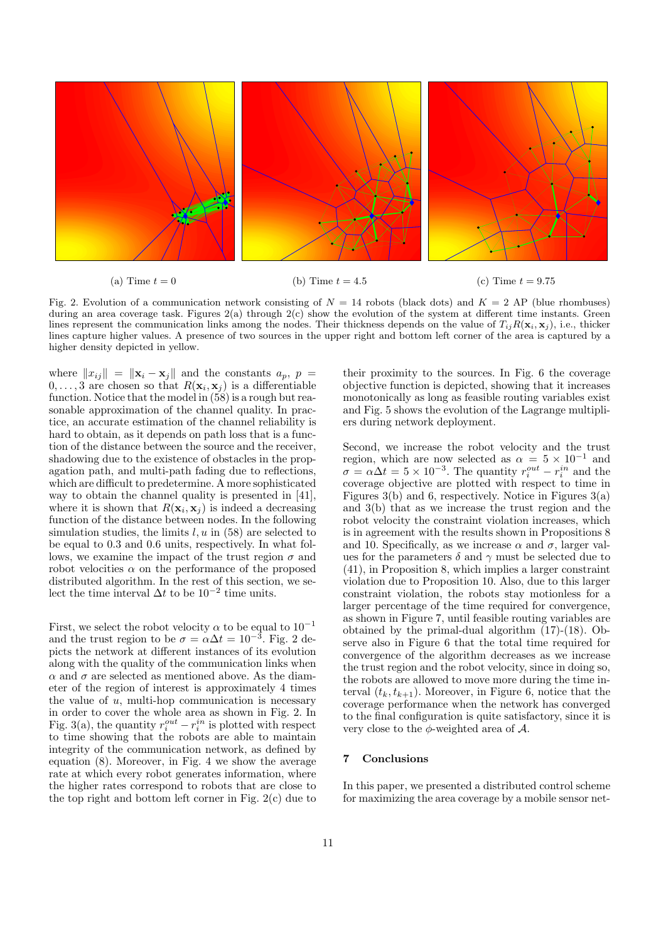

Fig. 2. Evolution of a communication network consisting of  $N = 14$  robots (black dots) and  $K = 2$  AP (blue rhombuses) during an area coverage task. Figures  $2(a)$  through  $2(c)$  show the evolution of the system at different time instants. Green lines represent the communication links among the nodes. Their thickness depends on the value of  $T_{ii}R(\mathbf{x}_i, \mathbf{x}_i)$ , i.e., thicker lines capture higher values. A presence of two sources in the upper right and bottom left corner of the area is captured by a higher density depicted in yellow.

where  $||x_{ij}|| = ||\mathbf{x}_i - \mathbf{x}_j||$  and the constants  $a_p, p =$  $0, \ldots, 3$  are chosen so that  $R(\mathbf{x}_i, \mathbf{x}_j)$  is a differentiable function. Notice that the model in (58) is a rough but reasonable approximation of the channel quality. In practice, an accurate estimation of the channel reliability is hard to obtain, as it depends on path loss that is a function of the distance between the source and the receiver, shadowing due to the existence of obstacles in the propagation path, and multi-path fading due to reflections, which are difficult to predetermine. A more sophisticated way to obtain the channel quality is presented in [41], where it is shown that  $R(\mathbf{x}_i, \mathbf{x}_j)$  is indeed a decreasing function of the distance between nodes. In the following simulation studies, the limits  $l, u$  in (58) are selected to be equal to 0.3 and 0.6 units, respectively. In what follows, we examine the impact of the trust region  $\sigma$  and robot velocities  $\alpha$  on the performance of the proposed distributed algorithm. In the rest of this section, we select the time interval  $\Delta t$  to be  $10^{-2}$  time units.

First, we select the robot velocity  $\alpha$  to be equal to  $10^{-1}$ and the trust region to be  $\sigma = \alpha \Delta t = 10^{-3}$ . Fig. 2 depicts the network at different instances of its evolution along with the quality of the communication links when  $\alpha$  and  $\sigma$  are selected as mentioned above. As the diameter of the region of interest is approximately 4 times the value of  $u$ , multi-hop communication is necessary in order to cover the whole area as shown in Fig. 2. In Fig. 3(a), the quantity  $r_i^{out} - r_i^{in}$  is plotted with respect to time showing that the robots are able to maintain integrity of the communication network, as defined by equation (8). Moreover, in Fig. 4 we show the average rate at which every robot generates information, where the higher rates correspond to robots that are close to the top right and bottom left corner in Fig. 2(c) due to

their proximity to the sources. In Fig. 6 the coverage objective function is depicted, showing that it increases monotonically as long as feasible routing variables exist and Fig. 5 shows the evolution of the Lagrange multipliers during network deployment.

Second, we increase the robot velocity and the trust region, which are now selected as  $\alpha = 5 \times 10^{-1}$  and  $\sigma = \alpha \Delta t = 5 \times 10^{-3}$ . The quantity  $r_i^{out} - r_i^{in}$  and the coverage objective are plotted with respect to time in Figures  $3(b)$  and 6, respectively. Notice in Figures  $3(a)$ and 3(b) that as we increase the trust region and the robot velocity the constraint violation increases, which is in agreement with the results shown in Propositions 8 and 10. Specifically, as we increase  $\alpha$  and  $\sigma$ , larger values for the parameters  $\delta$  and  $\gamma$  must be selected due to (41), in Proposition 8, which implies a larger constraint violation due to Proposition 10. Also, due to this larger constraint violation, the robots stay motionless for a larger percentage of the time required for convergence, as shown in Figure 7, until feasible routing variables are obtained by the primal-dual algorithm (17)-(18). Observe also in Figure 6 that the total time required for convergence of the algorithm decreases as we increase the trust region and the robot velocity, since in doing so, the robots are allowed to move more during the time interval  $(t_k, t_{k+1})$ . Moreover, in Figure 6, notice that the coverage performance when the network has converged to the final configuration is quite satisfactory, since it is very close to the  $\phi$ -weighted area of  $\mathcal{A}$ .

## 7 Conclusions

In this paper, we presented a distributed control scheme for maximizing the area coverage by a mobile sensor net-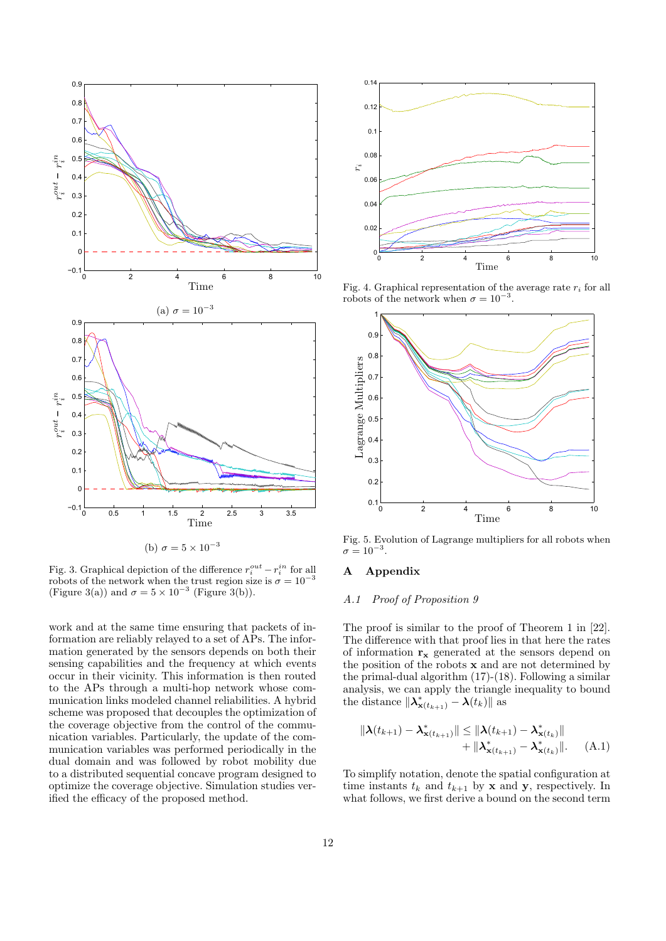

Fig. 3. Graphical depiction of the difference  $r_i^{out} - r_i^{in}$  for all robots of the network when the trust region size is  $\sigma = 10^{-3}$ (Figure 3(a)) and  $\sigma = 5 \times 10^{-3}$  (Figure 3(b)).

work and at the same time ensuring that packets of information are reliably relayed to a set of APs. The information generated by the sensors depends on both their sensing capabilities and the frequency at which events occur in their vicinity. This information is then routed to the APs through a multi-hop network whose communication links modeled channel reliabilities. A hybrid scheme was proposed that decouples the optimization of the coverage objective from the control of the communication variables. Particularly, the update of the communication variables was performed periodically in the dual domain and was followed by robot mobility due to a distributed sequential concave program designed to optimize the coverage objective. Simulation studies verified the efficacy of the proposed method.



Fig. 4. Graphical representation of the average rate  $r_i$  for all robots of the network when  $\sigma = 10^{-3}$ .



Fig. 5. Evolution of Lagrange multipliers for all robots when  $\sigma = 10^{-3}$ .

## A Appendix

## A.1 Proof of Proposition 9

The proof is similar to the proof of Theorem 1 in [22]. The difference with that proof lies in that here the rates of information  $\mathbf{r}_{\mathbf{x}}$  generated at the sensors depend on the position of the robots  $x$  and are not determined by the primal-dual algorithm (17)-(18). Following a similar analysis, we can apply the triangle inequality to bound the distance  $\|\lambda^*_{\mathbf{x}(t_{k+1})} - \lambda(t_k)\|$  as

$$
\|\lambda(t_{k+1}) - \lambda_{\mathbf{x}(t_{k+1})}^*\| \le \|\lambda(t_{k+1}) - \lambda_{\mathbf{x}(t_k)}^*\| + \|\lambda_{\mathbf{x}(t_{k+1})}^* - \lambda_{\mathbf{x}(t_k)}^*\|.
$$
 (A.1)

To simplify notation, denote the spatial configuration at time instants  $t_k$  and  $t_{k+1}$  by **x** and **y**, respectively. In what follows, we first derive a bound on the second term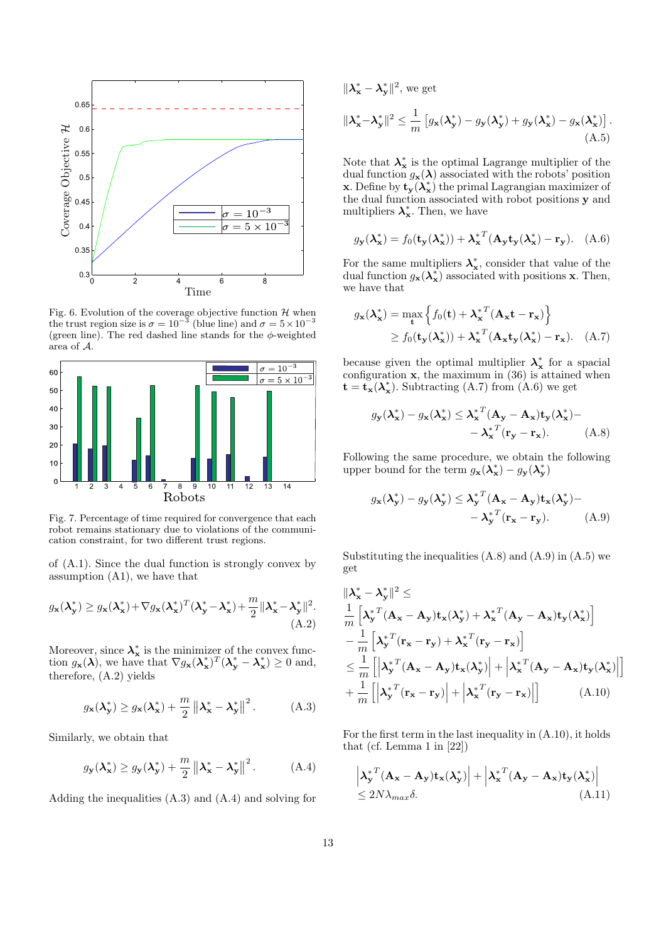

Fig. 6. Evolution of the coverage objective function  $\mathcal H$  when the trust region size is  $\sigma = 10^{-3}$  (blue line) and  $\sigma = 5 \times 10^{-3}$ (green line). The red dashed line stands for the  $\phi$ -weighted area of A.



Fig. 7. Percentage of time required for convergence that each robot remains stationary due to violations of the communication constraint, for two different trust regions.

of (A.1). Since the dual function is strongly convex by assumption (A1), we have that

$$
g_{\mathbf{x}}(\lambda_{\mathbf{y}}^*) \ge g_{\mathbf{x}}(\lambda_{\mathbf{x}}^*) + \nabla g_{\mathbf{x}}(\lambda_{\mathbf{x}}^*)^T (\lambda_{\mathbf{y}}^* - \lambda_{\mathbf{x}}^*) + \frac{m}{2} \|\lambda_{\mathbf{x}}^* - \lambda_{\mathbf{y}}^*\|^2.
$$
\n(A.2)

Moreover, since  $\lambda_{\mathbf{x}}^*$  is the minimizer of the convex function  $g_{\mathbf{x}}(\lambda)$ , we have that  $\nabla g_{\mathbf{x}}(\lambda_{\mathbf{x}}^*)^T (\lambda_{\mathbf{y}}^* - \lambda_{\mathbf{x}}^*) \ge 0$  and, therefore, (A.2) yields

$$
g_{\mathbf{x}}(\lambda_{\mathbf{y}}^*) \ge g_{\mathbf{x}}(\lambda_{\mathbf{x}}^*) + \frac{m}{2} ||\lambda_{\mathbf{x}}^* - \lambda_{\mathbf{y}}^*||^2.
$$
 (A.3)

Similarly, we obtain that

$$
g_{\mathbf{y}}(\lambda_{\mathbf{x}}^*) \ge g_{\mathbf{y}}(\lambda_{\mathbf{y}}^*) + \frac{m}{2} ||\lambda_{\mathbf{x}}^* - \lambda_{\mathbf{y}}^*||^2.
$$
 (A.4)

Adding the inequalities (A.3) and (A.4) and solving for

$$
\|\lambda_{\mathbf{x}}^* - \lambda_{\mathbf{y}}^*\|^2, \text{ we get}
$$
  

$$
\|\lambda_{\mathbf{x}}^* - \lambda_{\mathbf{y}}^*\|^2 \le \frac{1}{m} \left[ g_{\mathbf{x}}(\lambda_{\mathbf{y}}^*) - g_{\mathbf{y}}(\lambda_{\mathbf{y}}^*) + g_{\mathbf{y}}(\lambda_{\mathbf{x}}^*) - g_{\mathbf{x}}(\lambda_{\mathbf{x}}^*) \right].
$$
  
(A.5)

Note that  $\lambda_{\bf x}^*$  is the optimal Lagrange multiplier of the dual function  $g_{\mathbf{x}}(\lambda)$  associated with the robots' position **x**. Define by  $\mathbf{t}_{\mathbf{y}}(\lambda_{\mathbf{x}}^*)$  the primal Lagrangian maximizer of the dual function associated with robot positions y and multipliers  $\lambda_{\mathbf{x}}^*$ . Then, we have

$$
g_{\mathbf{y}}(\lambda_{\mathbf{x}}^*) = f_0(\mathbf{t}_{\mathbf{y}}(\lambda_{\mathbf{x}}^*)) + \lambda_{\mathbf{x}}^{*T}(\mathbf{A}_{\mathbf{y}}\mathbf{t}_{\mathbf{y}}(\lambda_{\mathbf{x}}^*) - \mathbf{r}_{\mathbf{y}}).
$$
 (A.6)

For the same multipliers  $\lambda_{\mathbf{x}}^*$ , consider that value of the dual function  $g_{\mathbf{x}}(\mathbf{\lambda}_{\mathbf{x}}^*)$  associated with positions **x**. Then, we have that

$$
g_{\mathbf{x}}(\lambda_{\mathbf{x}}^{*}) = \max_{\mathbf{t}} \left\{ f_{0}(\mathbf{t}) + \lambda_{\mathbf{x}}^{*T} (\mathbf{A}_{\mathbf{x}} \mathbf{t} - \mathbf{r}_{\mathbf{x}}) \right\}
$$
  
\n
$$
\geq f_{0}(\mathbf{t}_{\mathbf{y}}(\lambda_{\mathbf{x}}^{*})) + \lambda_{\mathbf{x}}^{*T} (\mathbf{A}_{\mathbf{x}} \mathbf{t}_{\mathbf{y}}(\lambda_{\mathbf{x}}^{*}) - \mathbf{r}_{\mathbf{x}}). \quad (A.7)
$$

because given the optimal multiplier  $\lambda_{\mathbf{x}}^*$  for a spacial configuration  $x$ , the maximum in  $(36)$  is attained when  $\mathbf{t} = \mathbf{t}_{\mathbf{x}}(\lambda_{\mathbf{x}}^*)$ . Subtracting (A.7) from (A.6) we get

$$
g_{\mathbf{y}}(\boldsymbol{\lambda}_{\mathbf{x}}^{*}) - g_{\mathbf{x}}(\boldsymbol{\lambda}_{\mathbf{x}}^{*}) \leq {\boldsymbol{\lambda}_{\mathbf{x}}^{*}}^{T}(\mathbf{A}_{\mathbf{y}} - \mathbf{A}_{\mathbf{x}})\mathbf{t}_{\mathbf{y}}(\boldsymbol{\lambda}_{\mathbf{x}}^{*}) -
$$

$$
-{\boldsymbol{\lambda}_{\mathbf{x}}^{*}}^{T}(\mathbf{r}_{\mathbf{y}} - \mathbf{r}_{\mathbf{x}}). \tag{A.8}
$$

Following the same procedure, we obtain the following upper bound for the term  $g_{\mathbf{x}}(\lambda_{\mathbf{x}}^*) - g_{\mathbf{y}}(\lambda_{\mathbf{y}}^*)$ 

$$
g_{\mathbf{x}}(\lambda_{\mathbf{y}}^*) - g_{\mathbf{y}}(\lambda_{\mathbf{y}}^*) \le \lambda_{\mathbf{y}}^{*T} (\mathbf{A}_{\mathbf{x}} - \mathbf{A}_{\mathbf{y}}) \mathbf{t}_{\mathbf{x}}(\lambda_{\mathbf{y}}^*) - \\ - \lambda_{\mathbf{y}}^{*T} (\mathbf{r}_{\mathbf{x}} - \mathbf{r}_{\mathbf{y}}). \tag{A.9}
$$

Substituting the inequalities  $(A.8)$  and  $(A.9)$  in  $(A.5)$  we get

$$
\begin{split}\n&\|\lambda_{\mathbf{x}}^{*} - \lambda_{\mathbf{y}}^{*}\|^{2} \leq \\
&\frac{1}{m} \left[\lambda_{\mathbf{y}}^{*T} (\mathbf{A}_{\mathbf{x}} - \mathbf{A}_{\mathbf{y}}) \mathbf{t}_{\mathbf{x}} (\lambda_{\mathbf{y}}^{*}) + \lambda_{\mathbf{x}}^{*T} (\mathbf{A}_{\mathbf{y}} - \mathbf{A}_{\mathbf{x}}) \mathbf{t}_{\mathbf{y}} (\lambda_{\mathbf{x}}^{*})\right] \\
&- \frac{1}{m} \left[\lambda_{\mathbf{y}}^{*T} (\mathbf{r}_{\mathbf{x}} - \mathbf{r}_{\mathbf{y}}) + \lambda_{\mathbf{x}}^{*T} (\mathbf{r}_{\mathbf{y}} - \mathbf{r}_{\mathbf{x}})\right] \\
&\leq \frac{1}{m} \left[\left|\lambda_{\mathbf{y}}^{*T} (\mathbf{A}_{\mathbf{x}} - \mathbf{A}_{\mathbf{y}}) \mathbf{t}_{\mathbf{x}} (\lambda_{\mathbf{y}}^{*})\right| + \left|\lambda_{\mathbf{x}}^{*T} (\mathbf{A}_{\mathbf{y}} - \mathbf{A}_{\mathbf{x}}) \mathbf{t}_{\mathbf{y}} (\lambda_{\mathbf{x}}^{*})\right|\right] \\
&+ \frac{1}{m} \left[\left|\lambda_{\mathbf{y}}^{*T} (\mathbf{r}_{\mathbf{x}} - \mathbf{r}_{\mathbf{y}}) + \left|\lambda_{\mathbf{x}}^{*T} (\mathbf{r}_{\mathbf{y}} - \mathbf{r}_{\mathbf{x}})\right|\right] \right] \tag{A.10}\n\end{split}
$$

For the first term in the last inequality in (A.10), it holds that (cf. Lemma 1 in [22])

$$
\left| \lambda_{\mathbf{y}}^{*T} (\mathbf{A}_{\mathbf{x}} - \mathbf{A}_{\mathbf{y}}) \mathbf{t}_{\mathbf{x}} (\lambda_{\mathbf{y}}^{*}) \right| + \left| \lambda_{\mathbf{x}}^{*T} (\mathbf{A}_{\mathbf{y}} - \mathbf{A}_{\mathbf{x}}) \mathbf{t}_{\mathbf{y}} (\lambda_{\mathbf{x}}^{*}) \right|
$$
  
\n
$$
\leq 2N \lambda_{max} \delta.
$$
 (A.11)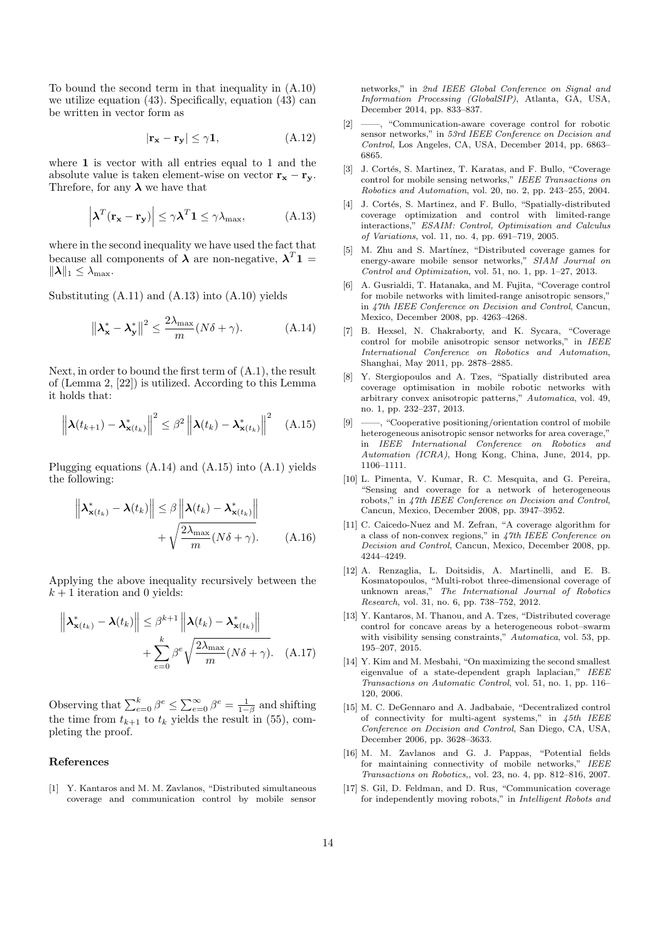To bound the second term in that inequality in (A.10) we utilize equation (43). Specifically, equation (43) can be written in vector form as

$$
|\mathbf{r}_{\mathbf{x}} - \mathbf{r}_{\mathbf{y}}| \le \gamma \mathbf{1},\tag{A.12}
$$

where 1 is vector with all entries equal to 1 and the absolute value is taken element-wise on vector  $\mathbf{r_x} - \mathbf{r_y}$ . Threfore, for any  $\lambda$  we have that

$$
\left| \boldsymbol{\lambda}^T (\mathbf{r_x} - \mathbf{r_y}) \right| \le \gamma \boldsymbol{\lambda}^T \mathbf{1} \le \gamma \lambda_{\text{max}}, \tag{A.13}
$$

where in the second inequality we have used the fact that because all components of  $\lambda$  are non-negative,  $\lambda^{T}1 =$  $\|\boldsymbol{\lambda}\|_1 \leq \lambda_{\max}.$ 

Substituting (A.11) and (A.13) into (A.10) yields

$$
\left\|\lambda_{\mathbf{x}}^* - \lambda_{\mathbf{y}}^*\right\|^2 \le \frac{2\lambda_{\max}}{m} (N\delta + \gamma). \tag{A.14}
$$

Next, in order to bound the first term of (A.1), the result of (Lemma 2, [22]) is utilized. According to this Lemma it holds that:

$$
\left\| \boldsymbol{\lambda}(t_{k+1}) - \boldsymbol{\lambda}^*_{\mathbf{x}(t_k)} \right\|^2 \leq \beta^2 \left\| \boldsymbol{\lambda}(t_k) - \boldsymbol{\lambda}^*_{\mathbf{x}(t_k)} \right\|^2 \quad (A.15)
$$

Plugging equations (A.14) and (A.15) into (A.1) yields the following:

$$
\left\| \boldsymbol{\lambda}_{\mathbf{x}(t_k)}^* - \boldsymbol{\lambda}(t_k) \right\| \leq \beta \left\| \boldsymbol{\lambda}(t_k) - \boldsymbol{\lambda}_{\mathbf{x}(t_k)}^* \right\| + \sqrt{\frac{2\lambda_{\max}}{m} (N\delta + \gamma)}.
$$
 (A.16)

Applying the above inequality recursively between the  $k + 1$  iteration and 0 yields:

$$
\left\| \boldsymbol{\lambda}_{\mathbf{x}(t_k)}^* - \boldsymbol{\lambda}(t_k) \right\| \leq \beta^{k+1} \left\| \boldsymbol{\lambda}(t_k) - \boldsymbol{\lambda}_{\mathbf{x}(t_k)}^* \right\| + \sum_{e=0}^k \beta^e \sqrt{\frac{2\lambda_{\max}}{m} (N\delta + \gamma)}.
$$
 (A.17)

Observing that  $\sum_{e=0}^{k} \beta^e \leq \sum_{e=0}^{\infty} \beta^e = \frac{1}{1-\beta}$  and shifting the time from  $t_{k+1}$  to  $t_k$  yields the result in (55), completing the proof.

#### References

[1] Y. Kantaros and M. M. Zavlanos, "Distributed simultaneous coverage and communication control by mobile sensor

networks," in 2nd IEEE Global Conference on Signal and Information Processing (GlobalSIP), Atlanta, GA, USA, December 2014, pp. 833–837.

- [2] ——, "Communication-aware coverage control for robotic sensor networks," in 53rd IEEE Conference on Decision and Control, Los Angeles, CA, USA, December 2014, pp. 6863– 6865.
- [3] J. Cortés, S. Martinez, T. Karatas, and F. Bullo, "Coverage control for mobile sensing networks," IEEE Transactions on Robotics and Automation, vol. 20, no. 2, pp. 243–255, 2004.
- [4] J. Cortés, S. Martinez, and F. Bullo, "Spatially-distributed coverage optimization and control with limited-range interactions," ESAIM: Control, Optimisation and Calculus of Variations, vol. 11, no. 4, pp. 691–719, 2005.
- [5] M. Zhu and S. Martínez, "Distributed coverage games for energy-aware mobile sensor networks," SIAM Journal on Control and Optimization, vol. 51, no. 1, pp. 1–27, 2013.
- [6] A. Gusrialdi, T. Hatanaka, and M. Fujita, "Coverage control for mobile networks with limited-range anisotropic sensors," in 47th IEEE Conference on Decision and Control, Cancun, Mexico, December 2008, pp. 4263–4268.
- [7] B. Hexsel, N. Chakraborty, and K. Sycara, "Coverage control for mobile anisotropic sensor networks," in IEEE International Conference on Robotics and Automation, Shanghai, May 2011, pp. 2878–2885.
- [8] Y. Stergiopoulos and A. Tzes, "Spatially distributed area coverage optimisation in mobile robotic networks with arbitrary convex anisotropic patterns," Automatica, vol. 49, no. 1, pp. 232–237, 2013.
- $-$ , "Cooperative positioning/orientation control of mobile heterogeneous anisotropic sensor networks for area coverage," in IEEE International Conference on Robotics and Automation (ICRA), Hong Kong, China, June, 2014, pp. 1106–1111.
- [10] L. Pimenta, V. Kumar, R. C. Mesquita, and G. Pereira, "Sensing and coverage for a network of heterogeneous robots," in 47th IEEE Conference on Decision and Control, Cancun, Mexico, December 2008, pp. 3947–3952.
- [11] C. Caicedo-Nuez and M. Zefran, "A coverage algorithm for a class of non-convex regions," in 47th IEEE Conference on Decision and Control, Cancun, Mexico, December 2008, pp. 4244–4249.
- [12] A. Renzaglia, L. Doitsidis, A. Martinelli, and E. B. Kosmatopoulos, "Multi-robot three-dimensional coverage of unknown areas," The International Journal of Robotics Research, vol. 31, no. 6, pp. 738–752, 2012.
- [13] Y. Kantaros, M. Thanou, and A. Tzes, "Distributed coverage control for concave areas by a heterogeneous robot–swarm with visibility sensing constraints," Automatica, vol. 53, pp. 195–207, 2015.
- [14] Y. Kim and M. Mesbahi, "On maximizing the second smallest eigenvalue of a state-dependent graph laplacian," IEEE Transactions on Automatic Control, vol. 51, no. 1, pp. 116– 120, 2006.
- [15] M. C. DeGennaro and A. Jadbabaie, "Decentralized control of connectivity for multi-agent systems," in 45th IEEE Conference on Decision and Control, San Diego, CA, USA, December 2006, pp. 3628–3633.
- [16] M. M. Zavlanos and G. J. Pappas, "Potential fields for maintaining connectivity of mobile networks," IEEE Transactions on Robotics,, vol. 23, no. 4, pp. 812–816, 2007.
- [17] S. Gil, D. Feldman, and D. Rus, "Communication coverage for independently moving robots," in Intelligent Robots and